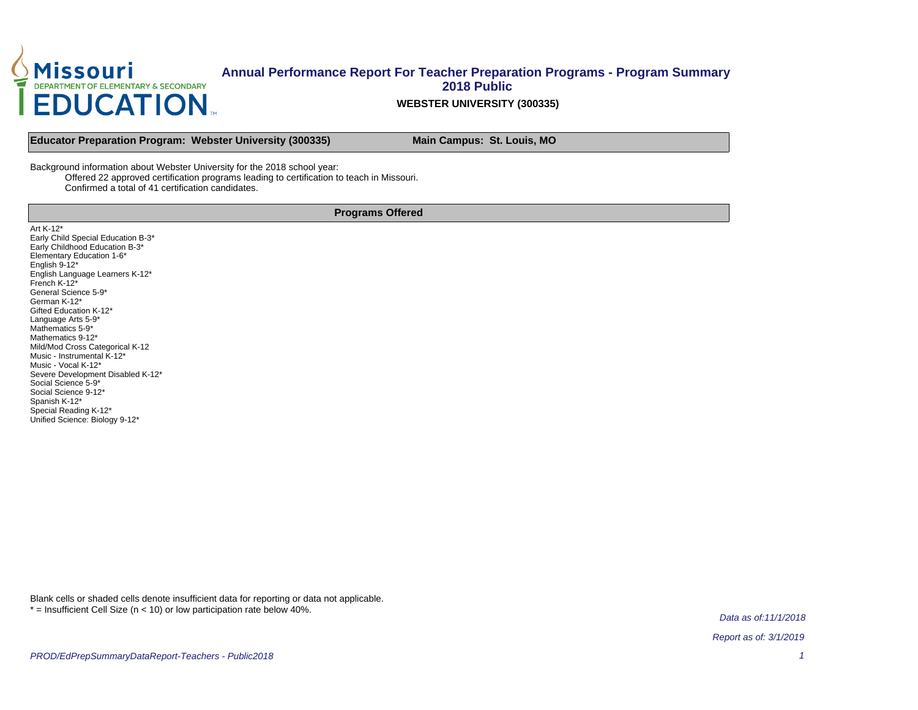

#### **WEBSTER UNIVERSITY (300335)**

**Educator Preparation Program: Webster University (300335) Main Campus: St. Louis, MO** 

Background information about Webster University for the 2018 school year:

Offered 22 approved certification programs leading to certification to teach in Missouri.

Confirmed a total of 41 certification candidates.

#### **Programs Offered**

Art K-12\* Early Child Special Education B-3\* Early Childhood Education B-3\* Elementary Education 1-6\* English 9-12\* English Language Learners K-12\* French K-12\* General Science 5-9\* German K-12\* Gifted Education K-12\* Language Arts 5-9\* Mathematics 5-9<sup>\*</sup> Mathematics 9-12\* Mild/Mod Cross Categorical K-12 Music - Instrumental K-12\* Music - Vocal K-12\* Severe Development Disabled K-12\* Social Science 5-9\* Social Science 9-12\* Spanish K-12\* Special Reading K-12\* Unified Science: Biology 9-12\*

Blank cells or shaded cells denote insufficient data for reporting or data not applicable.  $*$  = Insufficient Cell Size ( $n$  < 10) or low participation rate below 40%.

Data as of:11/1/2018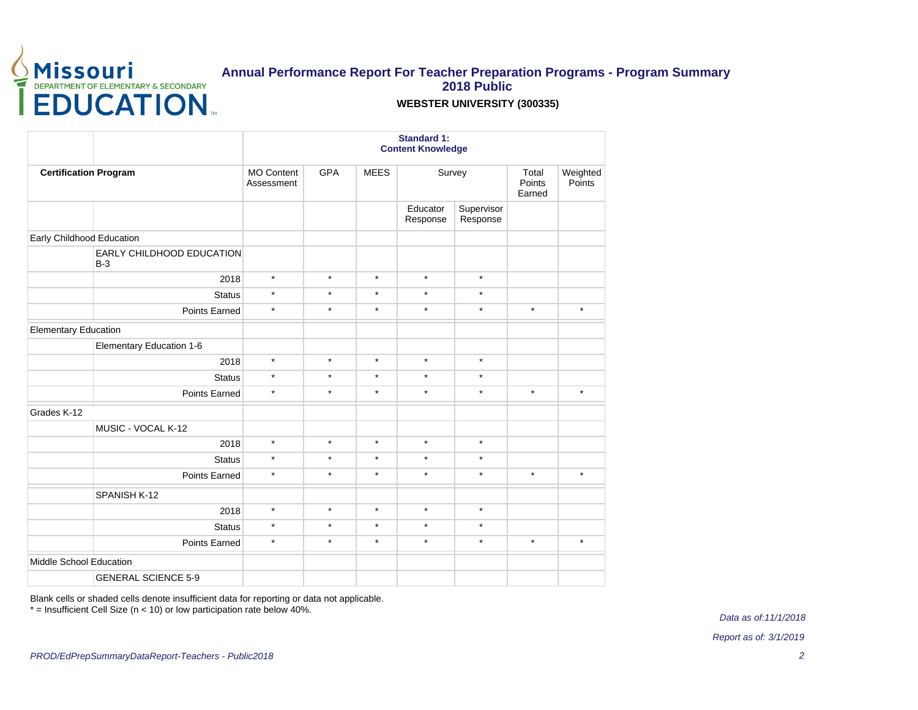

#### **WEBSTER UNIVERSITY (300335)**

|                                    |                                 |            |             | <b>Standard 1:</b><br><b>Content Knowledge</b> |                        |                           |                    |
|------------------------------------|---------------------------------|------------|-------------|------------------------------------------------|------------------------|---------------------------|--------------------|
| <b>Certification Program</b>       | <b>MO Content</b><br>Assessment | <b>GPA</b> | <b>MEES</b> | Survey                                         |                        | Total<br>Points<br>Earned | Weighted<br>Points |
|                                    |                                 |            |             | Educator<br>Response                           | Supervisor<br>Response |                           |                    |
| Early Childhood Education          |                                 |            |             |                                                |                        |                           |                    |
| EARLY CHILDHOOD EDUCATION<br>$B-3$ |                                 |            |             |                                                |                        |                           |                    |
| 2018                               | $\star$                         | $\star$    | $\star$     | $\star$                                        | $\star$                |                           |                    |
| <b>Status</b>                      | $\star$                         | $\star$    | $\star$     | $\star$                                        | $\star$                |                           |                    |
| Points Earned                      | $\star$                         | $\star$    | $\star$     | $\star$                                        | $\star$                | $^\star$                  | $\star$            |
| <b>Elementary Education</b>        |                                 |            |             |                                                |                        |                           |                    |
| Elementary Education 1-6           |                                 |            |             |                                                |                        |                           |                    |
| 2018                               | $\star$                         | $\star$    | $\star$     | $\star$                                        | $\star$                |                           |                    |
| <b>Status</b>                      | $\star$                         | $\star$    | $\star$     | $\star$                                        | $\star$                |                           |                    |
| <b>Points Earned</b>               | $\star$                         | $\star$    | $\star$     | $\star$                                        | $\star$                | $\star$                   | $\star$            |
| Grades K-12                        |                                 |            |             |                                                |                        |                           |                    |
| MUSIC - VOCAL K-12                 |                                 |            |             |                                                |                        |                           |                    |
| 2018                               | $\star$                         | $\star$    | $\star$     | $\star$                                        | $\star$                |                           |                    |
| <b>Status</b>                      | $\star$                         | $\star$    | $\star$     | $\star$                                        | $\star$                |                           |                    |
| Points Earned                      | $\star$                         | $\star$    | $\star$     | $\star$                                        | $\star$                | $\star$                   | $\star$            |
| SPANISH K-12                       |                                 |            |             |                                                |                        |                           |                    |
| 2018                               | $\star$                         | $\star$    | $\star$     | $\star$                                        | $\star$                |                           |                    |
| <b>Status</b>                      | $\star$                         | $\star$    | $\star$     | $\star$                                        | $\star$                |                           |                    |
| Points Earned                      | $\star$                         | $\star$    | $\star$     | $\star$                                        | $\star$                | $\star$                   | $\star$            |
| Middle School Education            |                                 |            |             |                                                |                        |                           |                    |
| <b>GENERAL SCIENCE 5-9</b>         |                                 |            |             |                                                |                        |                           |                    |

Blank cells or shaded cells denote insufficient data for reporting or data not applicable.

\* = Insufficient Cell Size (n < 10) or low participation rate below 40%.

Data as of:11/1/2018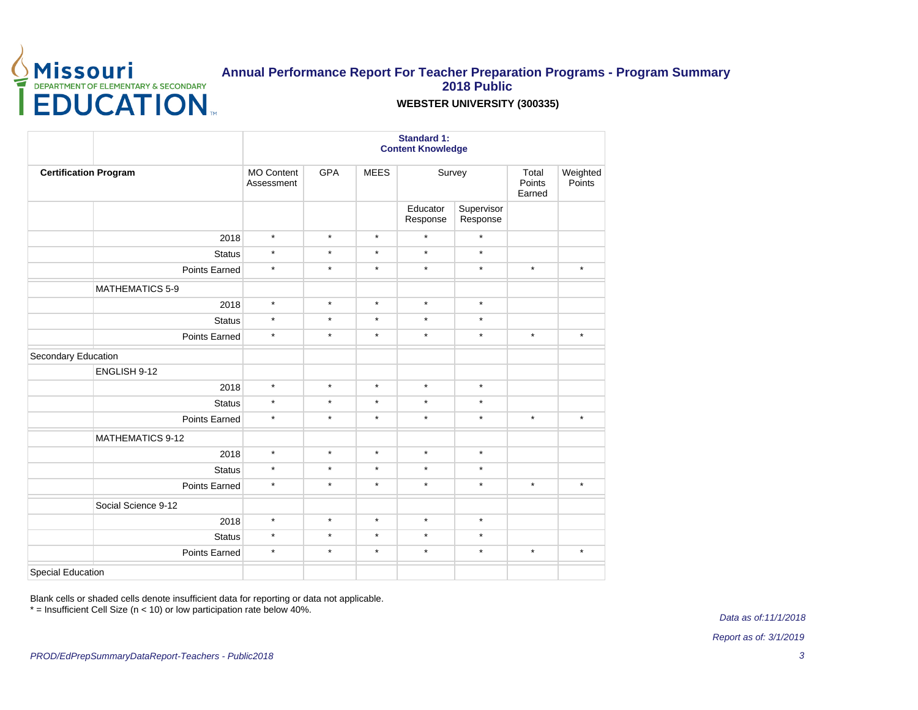

### **WEBSTER UNIVERSITY (300335)**

|                              |                                 |            |             | <b>Standard 1:</b><br><b>Content Knowledge</b> |                        |          |                    |
|------------------------------|---------------------------------|------------|-------------|------------------------------------------------|------------------------|----------|--------------------|
| <b>Certification Program</b> | <b>MO Content</b><br>Assessment | <b>GPA</b> | <b>MEES</b> | Survey<br>Total<br>Points<br>Earned            |                        |          | Weighted<br>Points |
|                              |                                 |            |             | Educator<br>Response                           | Supervisor<br>Response |          |                    |
| 2018                         | $\star$                         | $\star$    | $\star$     | $\star$                                        | $\star$                |          |                    |
| <b>Status</b>                | $\star$                         | $\star$    | $\star$     | $\star$                                        | $\star$                |          |                    |
| Points Earned                | $\star$                         | $\star$    | $\star$     | $\star$                                        | $\star$                | $^\star$ | $\star$            |
| <b>MATHEMATICS 5-9</b>       |                                 |            |             |                                                |                        |          |                    |
| 2018                         | $\star$                         | $\star$    | $\star$     | $\star$                                        | $\star$                |          |                    |
| <b>Status</b>                | $\star$                         | $\star$    | $\star$     | $\star$                                        | $\star$                |          |                    |
| Points Earned                | $\star$                         | $\star$    | $\star$     | $\star$                                        | $\star$                | $\star$  | $\star$            |
| Secondary Education          |                                 |            |             |                                                |                        |          |                    |
| ENGLISH 9-12                 |                                 |            |             |                                                |                        |          |                    |
| 2018                         | $\star$                         | $\star$    | $\star$     | $\star$                                        | $\star$                |          |                    |
| <b>Status</b>                | $\star$                         | $\star$    | $\star$     | $\star$                                        | $\star$                |          |                    |
| Points Earned                | $\star$                         | $\star$    | $\star$     | $\star$                                        | $\star$                | $^\star$ | $\star$            |
| <b>MATHEMATICS 9-12</b>      |                                 |            |             |                                                |                        |          |                    |
| 2018                         | $\star$                         | $\star$    | $\star$     | $\star$                                        | $\star$                |          |                    |
| <b>Status</b>                | $\star$                         | $\star$    | $\star$     | $\star$                                        | $\star$                |          |                    |
| Points Earned                | $\star$                         | $\star$    | $\star$     | $\star$                                        | $\star$                | $\star$  | $\star$            |
| Social Science 9-12          |                                 |            |             |                                                |                        |          |                    |
| 2018                         | $\star$                         | $\star$    | $\star$     | $\star$                                        | $\star$                |          |                    |
| <b>Status</b>                | $\star$                         | $\star$    | $\star$     | $\star$                                        | $\star$                |          |                    |
| Points Earned                | $\star$                         | $\star$    | $\star$     | $\star$                                        | $\star$                | $^\star$ | $\star$            |
| <b>Special Education</b>     |                                 |            |             |                                                |                        |          |                    |

Blank cells or shaded cells denote insufficient data for reporting or data not applicable.

\* = Insufficient Cell Size (n < 10) or low participation rate below 40%.

Data as of:11/1/2018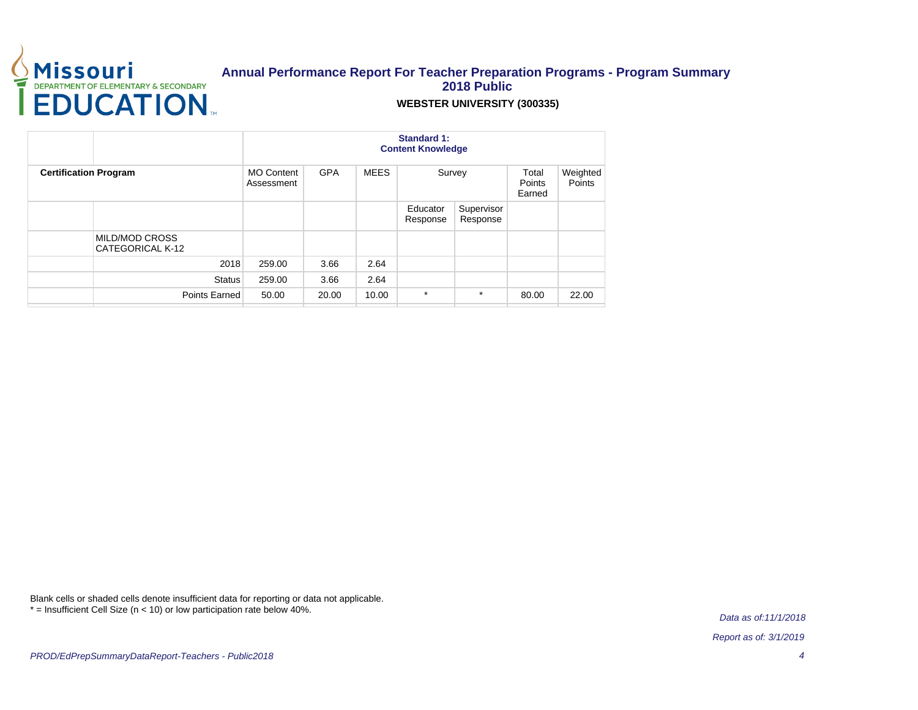

#### **WEBSTER UNIVERSITY (300335)**

|                                           |                                 |            |             | <b>Standard 1:</b><br><b>Content Knowledge</b> |                        |                           |                    |
|-------------------------------------------|---------------------------------|------------|-------------|------------------------------------------------|------------------------|---------------------------|--------------------|
| <b>Certification Program</b>              | <b>MO Content</b><br>Assessment | <b>GPA</b> | <b>MEES</b> |                                                | Survey                 | Total<br>Points<br>Earned | Weighted<br>Points |
|                                           |                                 |            |             | Educator<br>Response                           | Supervisor<br>Response |                           |                    |
| <b>MILD/MOD CROSS</b><br>CATEGORICAL K-12 |                                 |            |             |                                                |                        |                           |                    |
|                                           | 2018<br>259.00                  | 3.66       | 2.64        |                                                |                        |                           |                    |
| <b>Status</b>                             | 259.00                          | 3.66       | 2.64        |                                                |                        |                           |                    |
| Points Earned                             | 50.00                           | 20.00      | 10.00       | $\star$                                        | $\star$                | 80.00                     | 22.00              |

Blank cells or shaded cells denote insufficient data for reporting or data not applicable. \* = Insufficient Cell Size (n < 10) or low participation rate below 40%.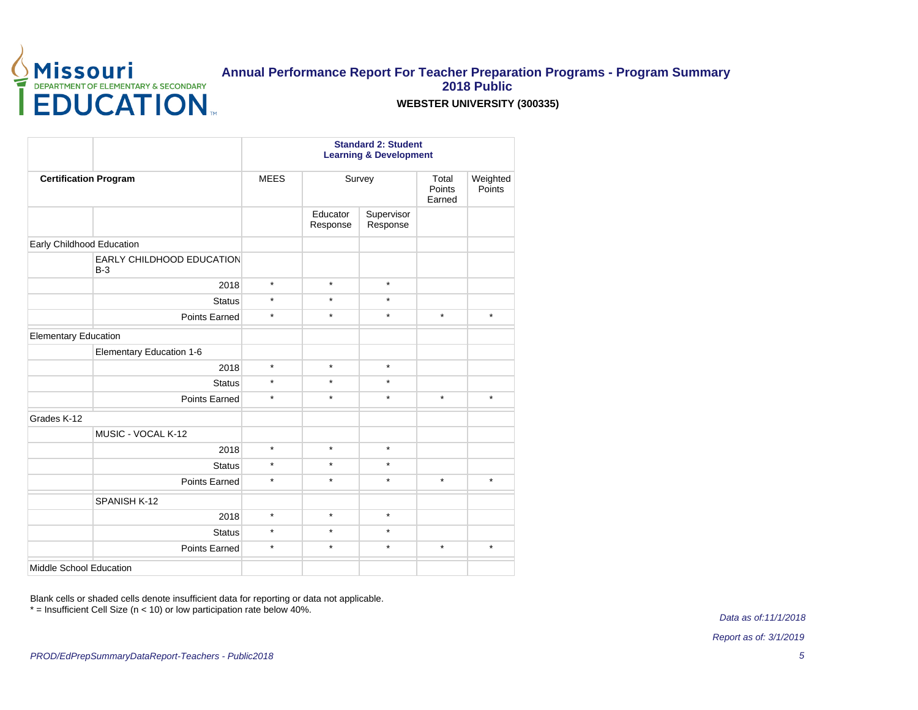

### **WEBSTER UNIVERSITY (300335)**

|                                           |             |                      | <b>Standard 2: Student</b><br><b>Learning &amp; Development</b> |                                          |                    |
|-------------------------------------------|-------------|----------------------|-----------------------------------------------------------------|------------------------------------------|--------------------|
| <b>Certification Program</b>              | <b>MEES</b> |                      | Survey                                                          | Total<br>Points<br>Earned                | Weighted<br>Points |
|                                           |             | Educator<br>Response | Supervisor<br>Response                                          | $\star$<br>$\star$<br>$\star$<br>$\star$ |                    |
| Early Childhood Education                 |             |                      |                                                                 |                                          |                    |
| <b>EARLY CHILDHOOD EDUCATION</b><br>$B-3$ |             |                      |                                                                 |                                          |                    |
| 2018                                      | $\star$     | $\star$              | $\star$                                                         |                                          |                    |
| <b>Status</b>                             | $\star$     | $\star$              | $\star$                                                         |                                          |                    |
| <b>Points Earned</b>                      | $\star$     | $\star$              | $\star$                                                         |                                          | $\star$            |
| <b>Elementary Education</b>               |             |                      |                                                                 |                                          |                    |
| Elementary Education 1-6                  |             |                      |                                                                 |                                          |                    |
| 2018                                      | $\star$     | $\star$              | $\star$                                                         |                                          |                    |
| <b>Status</b>                             | $\star$     | $\star$              | $\star$                                                         |                                          |                    |
| <b>Points Earned</b>                      | $\star$     | $\star$              | $\star$                                                         |                                          | $\star$            |
| Grades K-12                               |             |                      |                                                                 |                                          |                    |
| MUSIC - VOCAL K-12                        |             |                      |                                                                 |                                          |                    |
| 2018                                      | $\star$     | $\star$              | $\star$                                                         |                                          |                    |
| <b>Status</b>                             | $\star$     | $\star$              | $\star$                                                         |                                          |                    |
| <b>Points Earned</b>                      | $\star$     | $\star$              | $\star$                                                         |                                          | $\star$            |
| SPANISH K-12                              |             |                      |                                                                 |                                          |                    |
| 2018                                      | $\star$     | $\star$              | $\star$                                                         |                                          |                    |
| <b>Status</b>                             | $\star$     | $\star$              | $\star$                                                         |                                          |                    |
| Points Earned                             | $\star$     | $\star$              | $\star$                                                         |                                          | $\star$            |
| Middle School Education                   |             |                      |                                                                 |                                          |                    |

Blank cells or shaded cells denote insufficient data for reporting or data not applicable. \* = Insufficient Cell Size (n < 10) or low participation rate below 40%.

Data as of:11/1/2018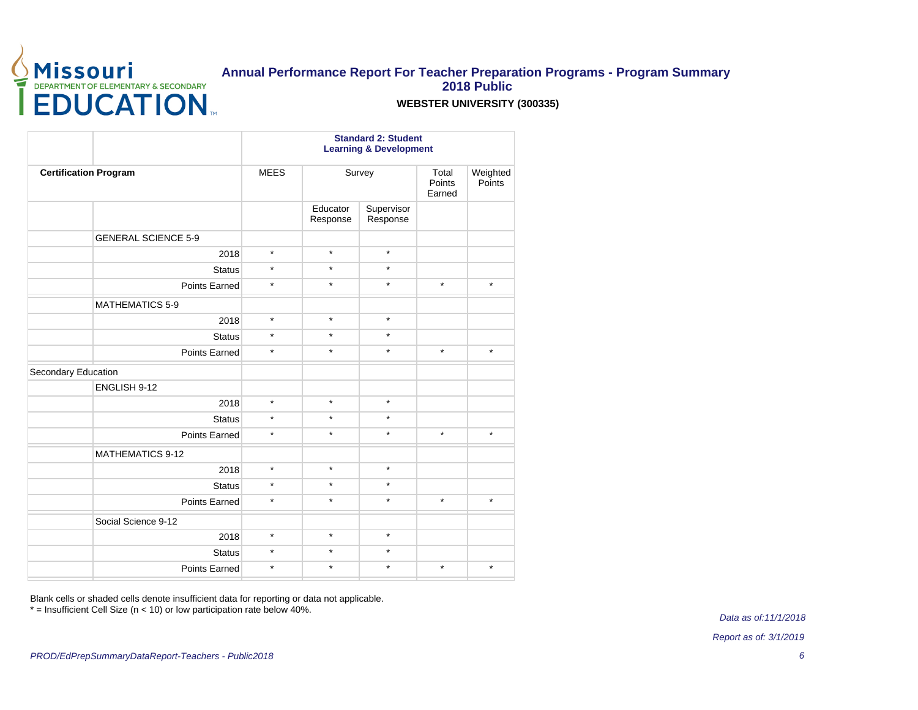

#### **WEBSTER UNIVERSITY (300335)**

|                              |             |          | <b>Standard 2: Student</b><br><b>Learning &amp; Development</b><br>Survey<br>Total<br>Points<br>Earned<br>Educator<br>Supervisor<br>Response<br>$\star$<br>$\star$<br>$\star$<br>$\star$ |         |                    |  |  |  |
|------------------------------|-------------|----------|------------------------------------------------------------------------------------------------------------------------------------------------------------------------------------------|---------|--------------------|--|--|--|
| <b>Certification Program</b> | <b>MEES</b> |          |                                                                                                                                                                                          |         | Weighted<br>Points |  |  |  |
|                              |             | Response |                                                                                                                                                                                          |         |                    |  |  |  |
| <b>GENERAL SCIENCE 5-9</b>   |             |          |                                                                                                                                                                                          |         |                    |  |  |  |
| 2018                         | $\star$     |          |                                                                                                                                                                                          |         |                    |  |  |  |
| <b>Status</b>                | $\star$     |          |                                                                                                                                                                                          |         |                    |  |  |  |
| Points Earned                | $\star$     | $\star$  | $\star$                                                                                                                                                                                  | $\star$ | $\star$            |  |  |  |
| <b>MATHEMATICS 5-9</b>       |             |          |                                                                                                                                                                                          |         |                    |  |  |  |
| 2018                         | $\star$     | $\star$  | $\star$                                                                                                                                                                                  |         |                    |  |  |  |
| <b>Status</b>                | $\star$     | $\star$  | $\star$                                                                                                                                                                                  |         |                    |  |  |  |
| Points Earned                | $\star$     | $\star$  | $\star$                                                                                                                                                                                  | $\star$ | $\star$            |  |  |  |
| Secondary Education          |             |          |                                                                                                                                                                                          |         |                    |  |  |  |
| ENGLISH 9-12                 |             |          |                                                                                                                                                                                          |         |                    |  |  |  |
| 2018                         | $\star$     | $\star$  | $\star$                                                                                                                                                                                  |         |                    |  |  |  |
| <b>Status</b>                | $\star$     | $\star$  | $\star$                                                                                                                                                                                  |         |                    |  |  |  |
| Points Earned                | $\star$     | $\star$  | $\star$                                                                                                                                                                                  | $\star$ | $\star$            |  |  |  |
| <b>MATHEMATICS 9-12</b>      |             |          |                                                                                                                                                                                          |         |                    |  |  |  |
| 2018                         | $\star$     | $\star$  | $\star$                                                                                                                                                                                  |         |                    |  |  |  |
| <b>Status</b>                | $\star$     | $\star$  | $\star$                                                                                                                                                                                  |         |                    |  |  |  |
| Points Earned                | $\star$     | $\star$  | $\star$                                                                                                                                                                                  | $\star$ | $\star$            |  |  |  |
| Social Science 9-12          |             |          |                                                                                                                                                                                          |         |                    |  |  |  |
| 2018                         | $\star$     | $\star$  | $\star$                                                                                                                                                                                  |         |                    |  |  |  |
| <b>Status</b>                | $\star$     | $\star$  | $\star$                                                                                                                                                                                  |         |                    |  |  |  |
| Points Earned                | $\star$     | $\star$  | $\star$                                                                                                                                                                                  | $\star$ | $\star$            |  |  |  |
|                              |             |          |                                                                                                                                                                                          |         |                    |  |  |  |

Blank cells or shaded cells denote insufficient data for reporting or data not applicable.

\* = Insufficient Cell Size (n < 10) or low participation rate below 40%.

Data as of:11/1/2018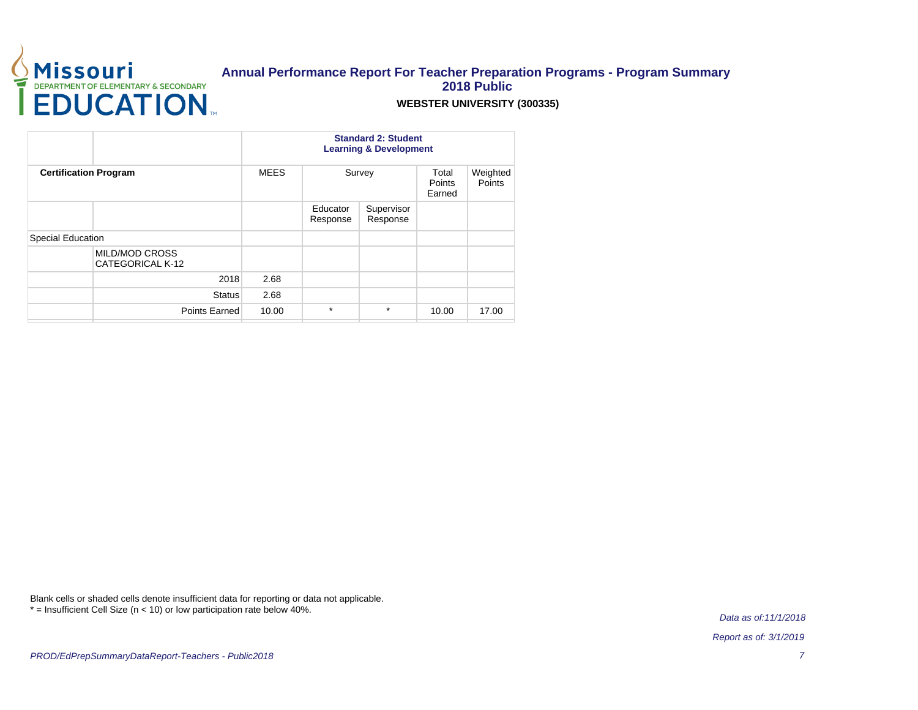

### **WEBSTER UNIVERSITY (300335)**

|                                           |             | <b>Standard 2: Student</b><br><b>Learning &amp; Development</b> |                        |                           |                    |
|-------------------------------------------|-------------|-----------------------------------------------------------------|------------------------|---------------------------|--------------------|
| <b>Certification Program</b>              | <b>MEES</b> |                                                                 | Survey                 | Total<br>Points<br>Earned | Weighted<br>Points |
|                                           |             | Educator<br>Response                                            | Supervisor<br>Response |                           |                    |
| <b>Special Education</b>                  |             |                                                                 |                        |                           |                    |
| <b>MILD/MOD CROSS</b><br>CATEGORICAL K-12 |             |                                                                 |                        |                           |                    |
| 2018                                      | 2.68        |                                                                 |                        |                           |                    |
| <b>Status</b>                             | 2.68        |                                                                 |                        |                           |                    |
| Points Earned                             | 10.00       | $\star$                                                         | $\star$                | 10.00                     | 17.00              |

Blank cells or shaded cells denote insufficient data for reporting or data not applicable. \* = Insufficient Cell Size (n < 10) or low participation rate below 40%.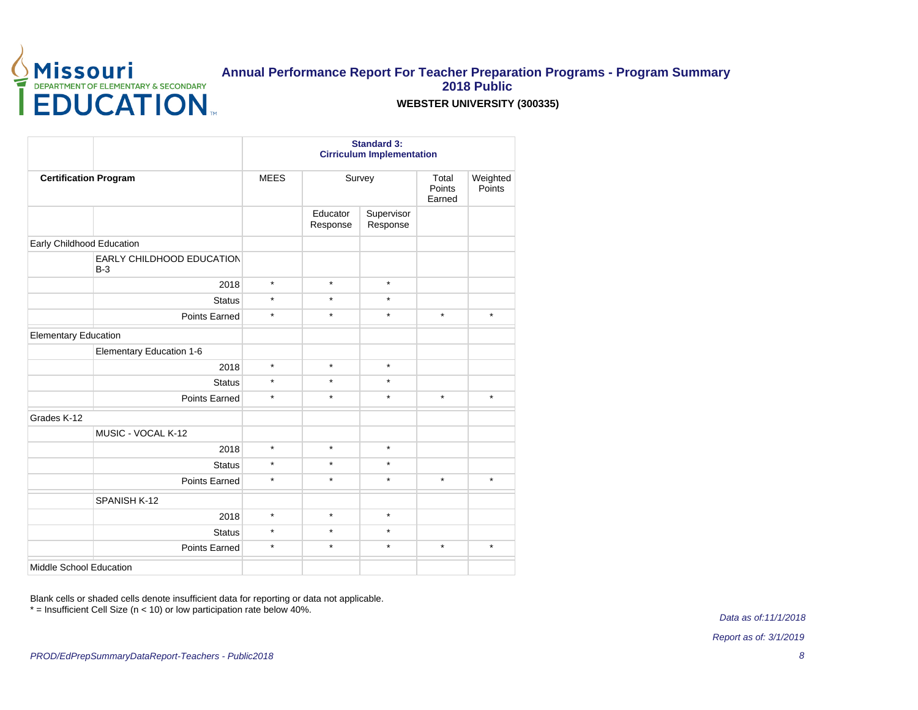

### **WEBSTER UNIVERSITY (300335)**

|                                    |             |                      | <b>Standard 3:</b><br><b>Cirriculum Implementation</b> |                                          |                    |
|------------------------------------|-------------|----------------------|--------------------------------------------------------|------------------------------------------|--------------------|
| <b>Certification Program</b>       | <b>MEES</b> |                      | Survey                                                 | Total<br>Points<br>Earned                | Weighted<br>Points |
|                                    |             | Educator<br>Response | Supervisor<br>Response                                 | $\star$<br>$\star$<br>$\star$<br>$\star$ |                    |
| Early Childhood Education          |             |                      |                                                        |                                          |                    |
| EARLY CHILDHOOD EDUCATION<br>$B-3$ |             |                      |                                                        |                                          |                    |
| 2018                               | $\star$     | $\star$              | $\star$                                                |                                          |                    |
| <b>Status</b>                      | $\star$     | $\star$              | $\star$                                                |                                          |                    |
| Points Earned                      | $\star$     | $\star$              | $\star$                                                |                                          | $\star$            |
| <b>Elementary Education</b>        |             |                      |                                                        |                                          |                    |
| Elementary Education 1-6           |             |                      |                                                        |                                          |                    |
| 2018                               | $\star$     | $\star$              | $\star$                                                |                                          |                    |
| <b>Status</b>                      | $\star$     | $\star$              | $\star$                                                |                                          |                    |
| Points Earned                      | $\star$     | $\star$              | $\star$                                                |                                          | $^\star$           |
| Grades K-12                        |             |                      |                                                        |                                          |                    |
| MUSIC - VOCAL K-12                 |             |                      |                                                        |                                          |                    |
| 2018                               | $\star$     | $\star$              | $\star$                                                |                                          |                    |
| <b>Status</b>                      | $\star$     | $\star$              | $\star$                                                |                                          |                    |
| Points Earned                      | $\star$     | $\star$              | $\star$                                                |                                          | $\star$            |
| SPANISH K-12                       |             |                      |                                                        |                                          |                    |
| 2018                               | $\star$     | $\star$              | $\star$                                                |                                          |                    |
| <b>Status</b>                      | $\star$     | $\star$              | $\star$                                                |                                          |                    |
| Points Earned                      | $\star$     | $\star$              | $\star$                                                |                                          | $\star$            |
| Middle School Education            |             |                      |                                                        |                                          |                    |

Blank cells or shaded cells denote insufficient data for reporting or data not applicable. \* = Insufficient Cell Size (n < 10) or low participation rate below 40%.

Data as of:11/1/2018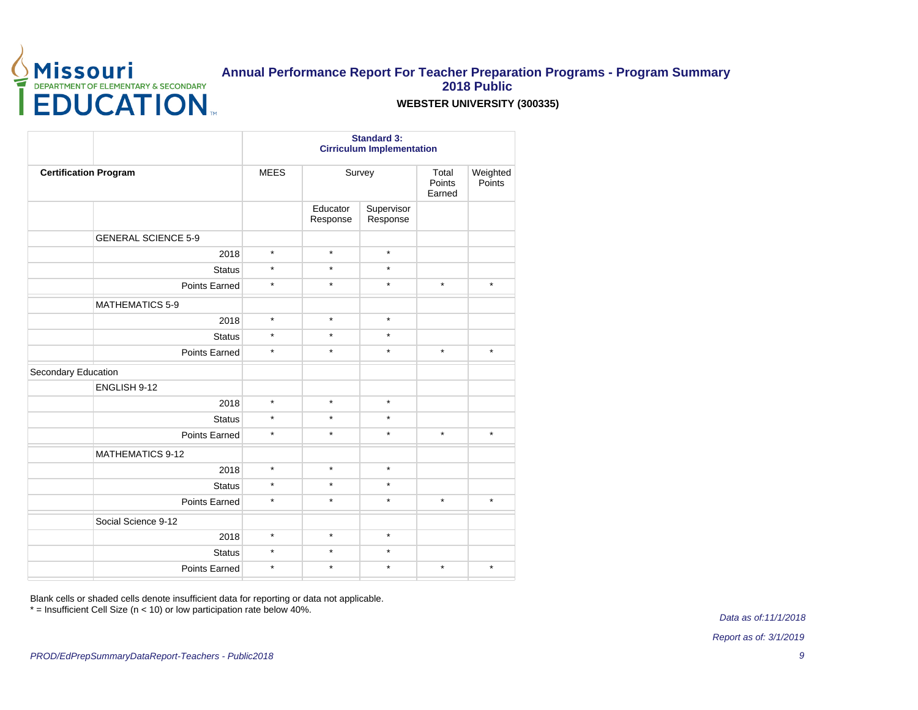

### **WEBSTER UNIVERSITY (300335)**

|                              |             |                      | <b>Standard 3:</b><br><b>Cirriculum Implementation</b> |                           |                    |
|------------------------------|-------------|----------------------|--------------------------------------------------------|---------------------------|--------------------|
| <b>Certification Program</b> | <b>MEES</b> |                      | Survey                                                 | Total<br>Points<br>Earned | Weighted<br>Points |
|                              |             | Educator<br>Response | Supervisor<br>Response                                 |                           |                    |
| <b>GENERAL SCIENCE 5-9</b>   |             |                      |                                                        |                           |                    |
| 2018                         | $\star$     | $\star$              | $\star$                                                |                           |                    |
| <b>Status</b>                | $\star$     | $\star$              | $\star$                                                |                           |                    |
| Points Earned                | $\star$     | $\star$              | $\star$                                                | $\star$                   | $\star$            |
| <b>MATHEMATICS 5-9</b>       |             |                      |                                                        |                           |                    |
| 2018                         | $\star$     | $\star$              | $\star$                                                |                           |                    |
| <b>Status</b>                | $\star$     | $\star$              | $\star$                                                |                           |                    |
| Points Earned                | $\star$     | $\star$              | $\star$                                                | $\star$                   | $\star$            |
| Secondary Education          |             |                      |                                                        |                           |                    |
| ENGLISH 9-12                 |             |                      |                                                        |                           |                    |
| 2018                         | $\star$     | $\star$              | $\star$                                                |                           |                    |
| <b>Status</b>                | $\star$     | $\star$              | $\star$                                                |                           |                    |
| <b>Points Earned</b>         | $\star$     | $\star$              | $\star$                                                | $\star$                   | $\star$            |
| <b>MATHEMATICS 9-12</b>      |             |                      |                                                        |                           |                    |
| 2018                         | $\star$     | $\star$              | $\star$                                                |                           |                    |
| <b>Status</b>                | $\star$     | $\star$              | $\star$                                                |                           |                    |
| Points Earned                | $\star$     | $\star$              | $\star$                                                | $\star$                   | $\star$            |
| Social Science 9-12          |             |                      |                                                        |                           |                    |
| 2018                         | $\star$     | $\star$              | $\star$                                                |                           |                    |
| <b>Status</b>                | $\star$     | $\star$              | $\star$                                                |                           |                    |
| <b>Points Earned</b>         | $\star$     | $\star$              | $\star$                                                | $\star$                   | $\star$            |
|                              |             |                      |                                                        |                           |                    |

Blank cells or shaded cells denote insufficient data for reporting or data not applicable.

\* = Insufficient Cell Size (n < 10) or low participation rate below 40%.

Data as of:11/1/2018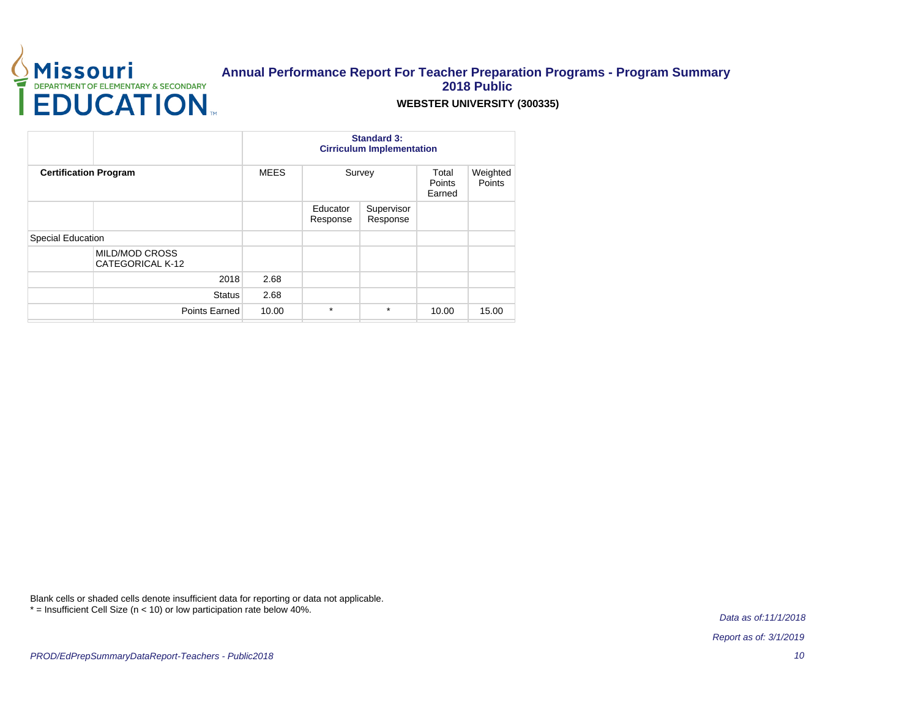

### **WEBSTER UNIVERSITY (300335)**

|                                           |             | <b>Standard 3:</b><br><b>Cirriculum Implementation</b> |                        |                                  |                    |  |
|-------------------------------------------|-------------|--------------------------------------------------------|------------------------|----------------------------------|--------------------|--|
| <b>Certification Program</b>              | <b>MEES</b> |                                                        | Survey                 | Total<br><b>Points</b><br>Earned | Weighted<br>Points |  |
|                                           |             | Educator<br>Response                                   | Supervisor<br>Response |                                  |                    |  |
| Special Education                         |             |                                                        |                        |                                  |                    |  |
| <b>MILD/MOD CROSS</b><br>CATEGORICAL K-12 |             |                                                        |                        |                                  |                    |  |
| 2018                                      | 2.68        |                                                        |                        |                                  |                    |  |
| <b>Status</b>                             | 2.68        |                                                        |                        |                                  |                    |  |
| Points Earned                             | 10.00       | $\star$                                                | $\star$                | 10.00                            | 15.00              |  |

Blank cells or shaded cells denote insufficient data for reporting or data not applicable. \* = Insufficient Cell Size (n < 10) or low participation rate below 40%.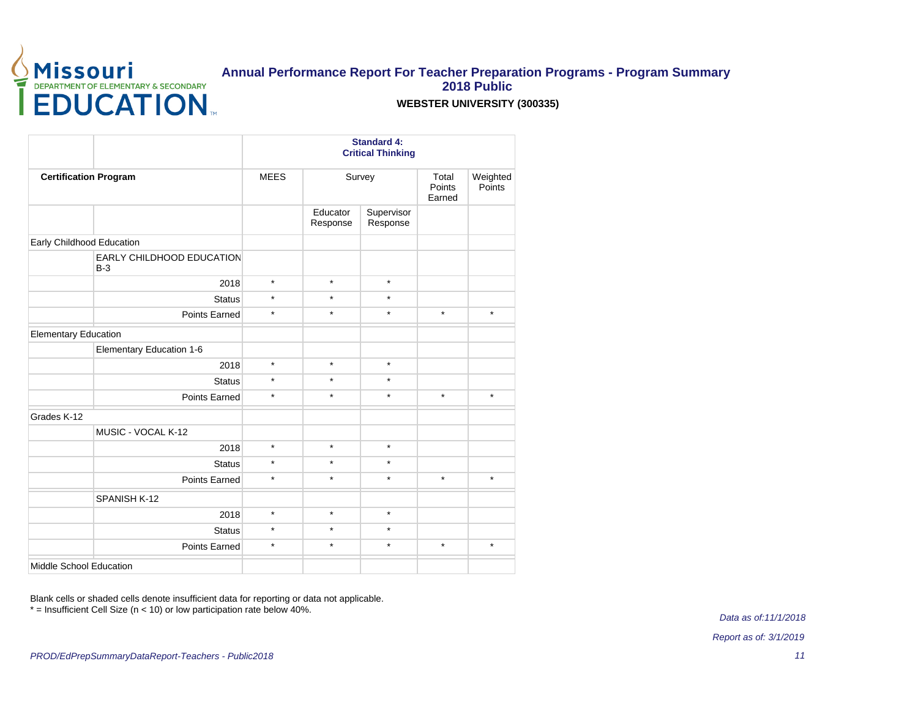

### **WEBSTER UNIVERSITY (300335)**

|                                    |             |                      | <b>Standard 4:</b><br><b>Critical Thinking</b> |                           |                    |
|------------------------------------|-------------|----------------------|------------------------------------------------|---------------------------|--------------------|
| <b>Certification Program</b>       | <b>MEES</b> |                      | Survey                                         | Total<br>Points<br>Earned | Weighted<br>Points |
|                                    |             | Educator<br>Response | Supervisor<br>Response                         |                           |                    |
| Early Childhood Education          |             |                      |                                                |                           |                    |
| EARLY CHILDHOOD EDUCATION<br>$B-3$ |             |                      |                                                |                           |                    |
| 2018                               | $\star$     | $\star$              | $\star$                                        |                           |                    |
| <b>Status</b>                      | $\star$     | $\star$              | $\star$                                        |                           |                    |
| Points Earned                      | $\star$     | $\star$              | $\star$                                        | $\star$                   | $\star$            |
| <b>Elementary Education</b>        |             |                      |                                                |                           |                    |
| Elementary Education 1-6           |             |                      |                                                |                           |                    |
| 2018                               | $\star$     | $\star$              | $\star$                                        |                           |                    |
| <b>Status</b>                      | $\star$     | $\star$              | $\star$                                        |                           |                    |
| Points Earned                      | $\star$     | $\star$              | $\star$                                        | $\star$                   | $\star$            |
| Grades K-12                        |             |                      |                                                |                           |                    |
| MUSIC - VOCAL K-12                 |             |                      |                                                |                           |                    |
| 2018                               | $\star$     | $\star$              | $\star$                                        |                           |                    |
| <b>Status</b>                      | $\star$     | $\star$              | $\star$                                        |                           |                    |
| Points Earned                      | $\star$     | $\star$              | $\star$                                        | $\star$                   | $\star$            |
| SPANISH K-12                       |             |                      |                                                |                           |                    |
| 2018                               | $\star$     | $\star$              | $\star$                                        |                           |                    |
| <b>Status</b>                      | $\star$     | $\star$              | $\star$                                        |                           |                    |
| Points Earned                      | $\star$     | $\star$              | $\star$                                        | $\star$                   | $\star$            |
| Middle School Education            |             |                      |                                                |                           |                    |

Blank cells or shaded cells denote insufficient data for reporting or data not applicable. \* = Insufficient Cell Size (n < 10) or low participation rate below 40%.

Data as of:11/1/2018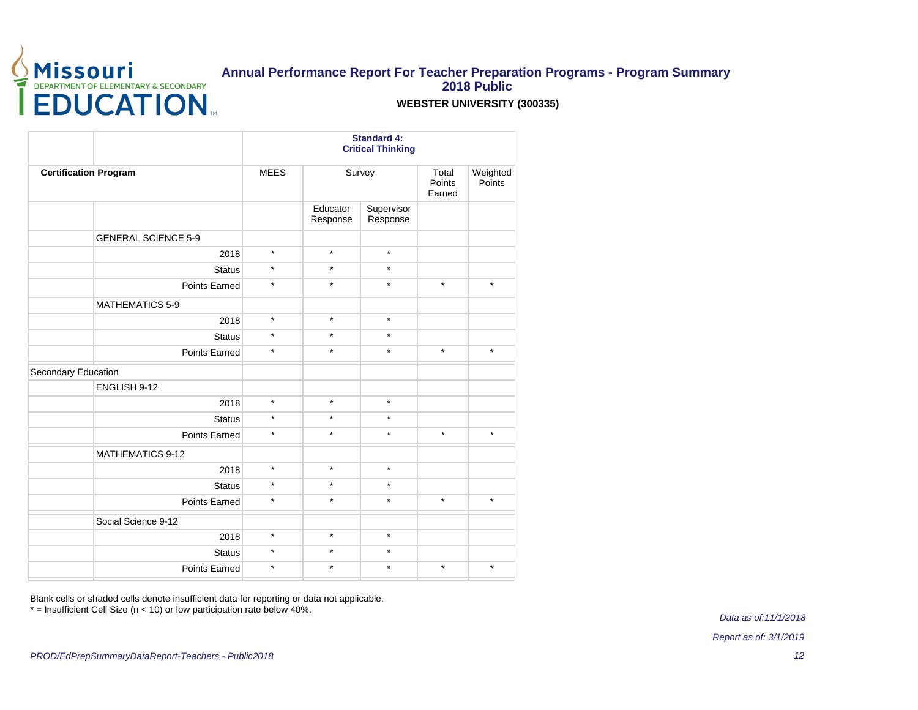

### **WEBSTER UNIVERSITY (300335)**

|                              |             |                      | <b>Standard 4:</b><br><b>Critical Thinking</b> |                           |                    |  |
|------------------------------|-------------|----------------------|------------------------------------------------|---------------------------|--------------------|--|
| <b>Certification Program</b> | <b>MEES</b> |                      | Survey                                         | Total<br>Points<br>Earned | Weighted<br>Points |  |
|                              |             | Educator<br>Response | Supervisor<br>Response                         |                           |                    |  |
| <b>GENERAL SCIENCE 5-9</b>   |             |                      |                                                |                           |                    |  |
| 2018                         | $\star$     | $\star$              | $\star$                                        |                           |                    |  |
| <b>Status</b>                | $\star$     | $\star$              | $\star$                                        |                           |                    |  |
| <b>Points Earned</b>         | $\star$     | $\star$              | $\star$                                        | $\star$                   | $\star$            |  |
| <b>MATHEMATICS 5-9</b>       |             |                      |                                                |                           |                    |  |
| 2018                         | $\star$     | $\star$              | $\star$                                        |                           |                    |  |
| <b>Status</b>                | $\star$     | $\star$              | $\star$                                        |                           |                    |  |
| Points Earned                | $\star$     | $\star$              | $\star$                                        | $\star$                   | $\star$            |  |
| Secondary Education          |             |                      |                                                |                           |                    |  |
| ENGLISH 9-12                 |             |                      |                                                |                           |                    |  |
| 2018                         | $\star$     | $\star$              | $\star$                                        |                           |                    |  |
| <b>Status</b>                | $\star$     | $\star$              | $\star$                                        |                           |                    |  |
| Points Earned                | $\star$     | $\star$              | $\star$                                        | $\star$                   | $\star$            |  |
| <b>MATHEMATICS 9-12</b>      |             |                      |                                                |                           |                    |  |
| 2018                         | $\star$     | $\star$              | $\star$                                        |                           |                    |  |
| <b>Status</b>                | $\star$     | $\star$              | $\star$                                        |                           |                    |  |
| Points Earned                | $\star$     | $\star$              | $\star$                                        | $\star$                   | $\star$            |  |
| Social Science 9-12          |             |                      |                                                |                           |                    |  |
| 2018                         | $\star$     | $\star$              | $\star$                                        |                           |                    |  |
| <b>Status</b>                | $\star$     | $\star$              | $\star$                                        |                           |                    |  |
| <b>Points Earned</b>         | $\star$     | $\star$              | $\star$                                        | $\star$                   | $\star$            |  |
|                              |             |                      |                                                |                           |                    |  |

Blank cells or shaded cells denote insufficient data for reporting or data not applicable.

\* = Insufficient Cell Size (n < 10) or low participation rate below 40%.

Data as of:11/1/2018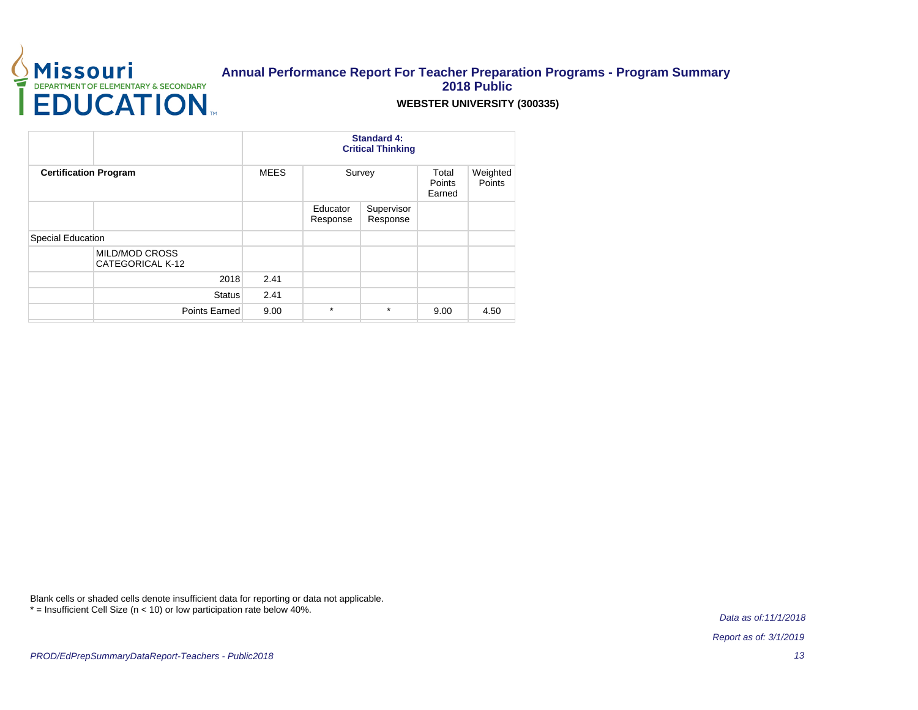

### **WEBSTER UNIVERSITY (300335)**

|                                           | <b>Standard 4:</b><br><b>Critical Thinking</b> |                      |                        |                           |                    |
|-------------------------------------------|------------------------------------------------|----------------------|------------------------|---------------------------|--------------------|
| <b>Certification Program</b>              | <b>MEES</b>                                    |                      | Survey                 | Total<br>Points<br>Earned | Weighted<br>Points |
|                                           |                                                | Educator<br>Response | Supervisor<br>Response |                           |                    |
| Special Education                         |                                                |                      |                        |                           |                    |
| <b>MILD/MOD CROSS</b><br>CATEGORICAL K-12 |                                                |                      |                        |                           |                    |
| 2018                                      | 2.41                                           |                      |                        |                           |                    |
| <b>Status</b>                             | 2.41                                           |                      |                        |                           |                    |
| Points Earned                             | 9.00                                           | $\star$              | $\star$                | 9.00                      | 4.50               |

Blank cells or shaded cells denote insufficient data for reporting or data not applicable. \* = Insufficient Cell Size (n < 10) or low participation rate below 40%.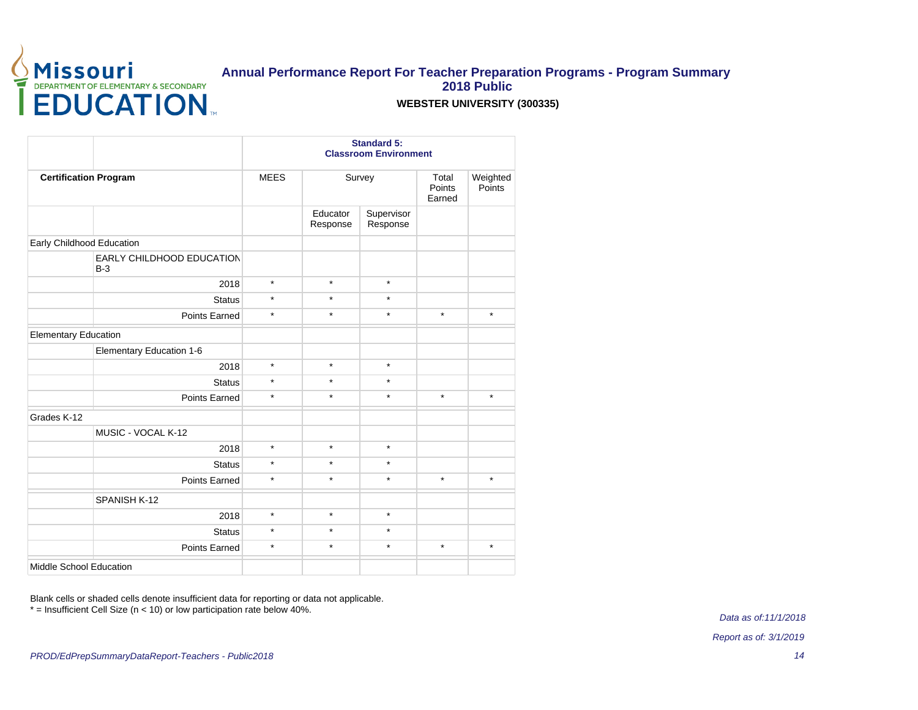

### **WEBSTER UNIVERSITY (300335)**

|                                           | <b>Standard 5:</b><br><b>Classroom Environment</b> |                      |                        |                           |                    |  |
|-------------------------------------------|----------------------------------------------------|----------------------|------------------------|---------------------------|--------------------|--|
| <b>Certification Program</b>              | <b>MEES</b>                                        | Survey               |                        | Total<br>Points<br>Earned | Weighted<br>Points |  |
|                                           |                                                    | Educator<br>Response | Supervisor<br>Response |                           |                    |  |
| Early Childhood Education                 |                                                    |                      |                        |                           |                    |  |
| <b>EARLY CHILDHOOD EDUCATION</b><br>$B-3$ |                                                    |                      |                        |                           |                    |  |
| 2018                                      | $\star$                                            | $\star$              | $\star$                |                           |                    |  |
| <b>Status</b>                             | $\star$                                            | $\star$              | $\star$                |                           |                    |  |
| <b>Points Earned</b>                      | $\star$                                            | $\star$              | $\star$                | $\star$                   | $\star$            |  |
| <b>Elementary Education</b>               |                                                    |                      |                        |                           |                    |  |
| Elementary Education 1-6                  |                                                    |                      |                        |                           |                    |  |
| 2018                                      | $\star$                                            | $\star$              | $\star$                |                           |                    |  |
| <b>Status</b>                             | $\star$                                            | $\star$              | $\star$                |                           |                    |  |
| Points Earned                             | $\star$                                            | $\star$              | $\star$                | $\star$                   | $\star$            |  |
| Grades K-12                               |                                                    |                      |                        |                           |                    |  |
| MUSIC - VOCAL K-12                        |                                                    |                      |                        |                           |                    |  |
| 2018                                      | $\star$                                            | $\star$              | $\star$                |                           |                    |  |
| <b>Status</b>                             | $\star$                                            | $\star$              | $\star$                |                           |                    |  |
| Points Earned                             | $\star$                                            | $\star$              | $\star$                | $\star$                   | $\star$            |  |
| SPANISH K-12                              |                                                    |                      |                        |                           |                    |  |
| 2018                                      | $\star$                                            | $\star$              | $\star$                |                           |                    |  |
| <b>Status</b>                             | $\star$                                            | $\star$              | $\star$                |                           |                    |  |
| Points Earned                             | $\star$                                            | $\star$              | $\star$                | $\star$                   | $\star$            |  |
| Middle School Education                   |                                                    |                      |                        |                           |                    |  |

Blank cells or shaded cells denote insufficient data for reporting or data not applicable. \* = Insufficient Cell Size (n < 10) or low participation rate below 40%.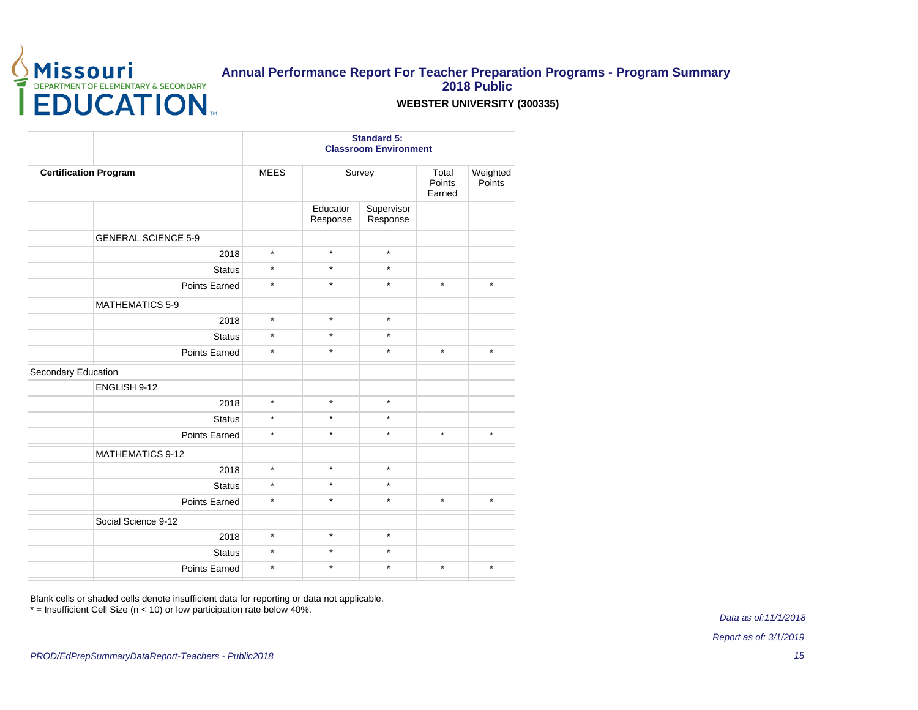

### **WEBSTER UNIVERSITY (300335)**

|                              |                          |                      | <b>Standard 5:</b><br><b>Classroom Environment</b> |         |                    |  |  |  |
|------------------------------|--------------------------|----------------------|----------------------------------------------------|---------|--------------------|--|--|--|
| <b>Certification Program</b> | <b>MEES</b>              |                      | Survey                                             |         | Weighted<br>Points |  |  |  |
|                              |                          | Educator<br>Response | Supervisor<br>Response                             |         |                    |  |  |  |
| <b>GENERAL SCIENCE 5-9</b>   |                          |                      |                                                    |         |                    |  |  |  |
|                              | $\star$<br>2018          | $\star$              | $\star$                                            |         |                    |  |  |  |
|                              | $\star$<br><b>Status</b> | $\star$              | $\star$                                            |         |                    |  |  |  |
| <b>Points Earned</b>         | $\star$                  | $\star$              | $\star$                                            | $\star$ | $\star$            |  |  |  |
| <b>MATHEMATICS 5-9</b>       |                          |                      |                                                    |         |                    |  |  |  |
|                              | $\star$<br>2018          | $\star$              | $\star$                                            |         |                    |  |  |  |
|                              | $\star$<br><b>Status</b> | $\star$              | $\star$                                            |         |                    |  |  |  |
| Points Earned                | $\star$                  | $\star$              | $\star$                                            | $\star$ | $\star$            |  |  |  |
| Secondary Education          |                          |                      |                                                    |         |                    |  |  |  |
| ENGLISH 9-12                 |                          |                      |                                                    |         |                    |  |  |  |
|                              | $\star$<br>2018          | $\star$              | $\star$                                            |         |                    |  |  |  |
|                              | $\star$<br><b>Status</b> | $\star$              | $\star$                                            |         |                    |  |  |  |
| <b>Points Earned</b>         | $\star$                  | $\star$              | $\star$                                            | $\star$ | $\star$            |  |  |  |
| <b>MATHEMATICS 9-12</b>      |                          |                      |                                                    |         |                    |  |  |  |
|                              | $\star$<br>2018          | $\star$              | $\star$                                            |         |                    |  |  |  |
|                              | $\star$<br><b>Status</b> | $\star$              | $\star$                                            |         |                    |  |  |  |
| Points Earned                | $\star$                  | $\star$              | $\star$                                            | $\star$ | $\star$            |  |  |  |
| Social Science 9-12          |                          |                      |                                                    |         |                    |  |  |  |
|                              | $\star$<br>2018          | $\star$              | $\star$                                            |         |                    |  |  |  |
|                              | $\star$<br><b>Status</b> | $\star$              | $\star$                                            |         |                    |  |  |  |
| <b>Points Earned</b>         | $\star$                  | $\star$              | $\star$                                            | $\star$ | $\star$            |  |  |  |
|                              |                          |                      |                                                    |         |                    |  |  |  |

Blank cells or shaded cells denote insufficient data for reporting or data not applicable.

\* = Insufficient Cell Size (n < 10) or low participation rate below 40%.

Data as of:11/1/2018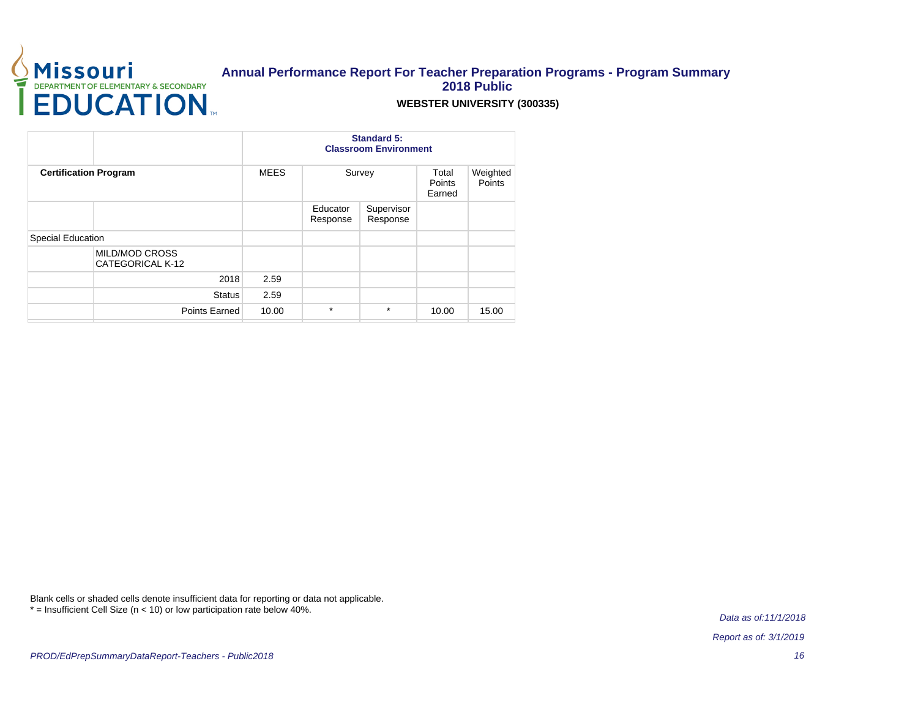

### **WEBSTER UNIVERSITY (300335)**

|                                           |             | <b>Classroom Environment</b> |                        |                                  |                    |
|-------------------------------------------|-------------|------------------------------|------------------------|----------------------------------|--------------------|
| <b>Certification Program</b>              | <b>MEES</b> |                              | Survey                 | Total<br><b>Points</b><br>Earned | Weighted<br>Points |
|                                           |             | Educator<br>Response         | Supervisor<br>Response |                                  |                    |
| Special Education                         |             |                              |                        |                                  |                    |
| <b>MILD/MOD CROSS</b><br>CATEGORICAL K-12 |             |                              |                        |                                  |                    |
| 2018                                      | 2.59        |                              |                        |                                  |                    |
| <b>Status</b>                             | 2.59        |                              |                        |                                  |                    |
| Points Earned                             | 10.00       | $\star$                      | $\star$                | 10.00                            | 15.00              |

Blank cells or shaded cells denote insufficient data for reporting or data not applicable. \* = Insufficient Cell Size (n < 10) or low participation rate below 40%.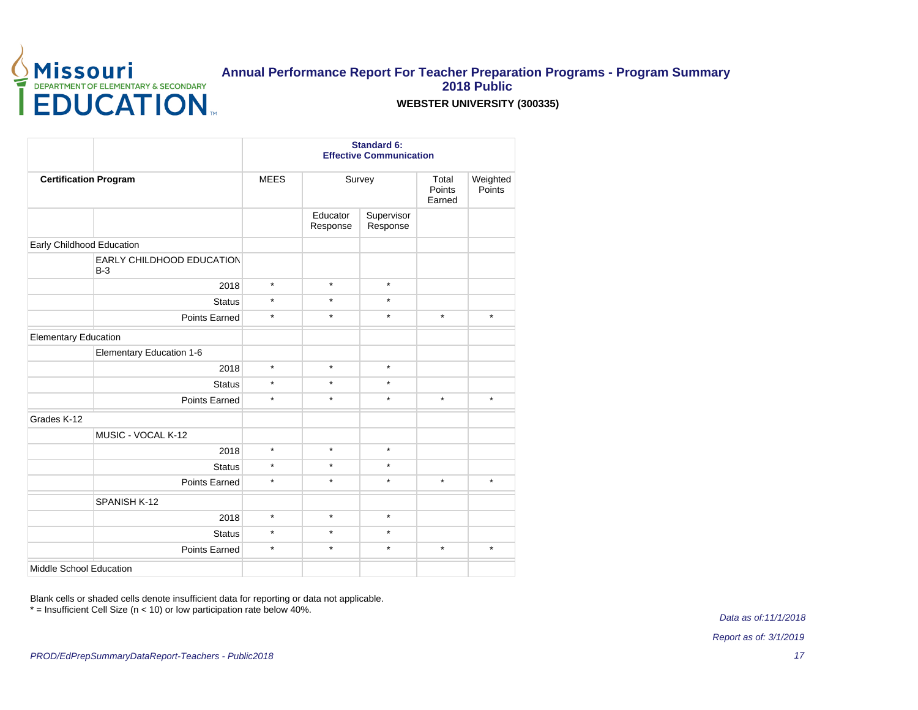

### **WEBSTER UNIVERSITY (300335)**

|                                           |             | <b>Standard 6:</b><br><b>Effective Communication</b> |                        |                           |                    |  |
|-------------------------------------------|-------------|------------------------------------------------------|------------------------|---------------------------|--------------------|--|
| <b>Certification Program</b>              | <b>MEES</b> | Survey                                               |                        | Total<br>Points<br>Earned | Weighted<br>Points |  |
|                                           |             | Educator<br>Response                                 | Supervisor<br>Response |                           |                    |  |
| Early Childhood Education                 |             |                                                      |                        |                           |                    |  |
| <b>EARLY CHILDHOOD EDUCATION</b><br>$B-3$ |             |                                                      |                        |                           |                    |  |
| 2018                                      | $\star$     | $\star$                                              | $\star$                |                           |                    |  |
| <b>Status</b>                             | $\star$     | $\star$                                              | $\star$                |                           |                    |  |
| Points Earned                             | $\star$     | $\star$                                              | $\star$                | $\star$                   | $^\star$           |  |
| <b>Elementary Education</b>               |             |                                                      |                        |                           |                    |  |
| Elementary Education 1-6                  |             |                                                      |                        |                           |                    |  |
| 2018                                      | $\star$     | $\star$                                              | $\star$                |                           |                    |  |
| <b>Status</b>                             | $\star$     | $\star$                                              | $\star$                |                           |                    |  |
| Points Earned                             | $\star$     | $\star$                                              | $\star$                | $\star$                   | $\star$            |  |
| Grades K-12                               |             |                                                      |                        |                           |                    |  |
| MUSIC - VOCAL K-12                        |             |                                                      |                        |                           |                    |  |
| 2018                                      | $\star$     | $\star$                                              | $\star$                |                           |                    |  |
| <b>Status</b>                             | $\star$     | $\star$                                              | $\star$                |                           |                    |  |
| <b>Points Earned</b>                      | $\star$     | $\star$                                              | $\star$                | $\star$                   | $\star$            |  |
| SPANISH K-12                              |             |                                                      |                        |                           |                    |  |
| 2018                                      | $\star$     | $\star$                                              | $\star$                |                           |                    |  |
| <b>Status</b>                             | $\star$     | $\star$                                              | $\star$                |                           |                    |  |
| <b>Points Earned</b>                      | $\star$     | $\star$                                              | $\star$                | $\star$                   | $\star$            |  |
| Middle School Education                   |             |                                                      |                        |                           |                    |  |

Blank cells or shaded cells denote insufficient data for reporting or data not applicable. \* = Insufficient Cell Size (n < 10) or low participation rate below 40%.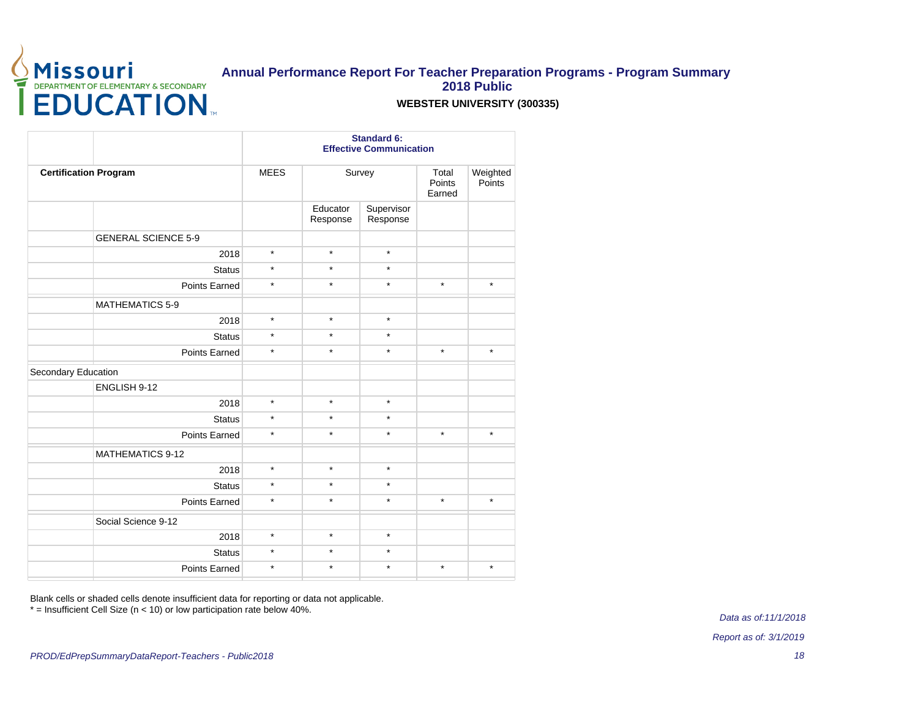

### **WEBSTER UNIVERSITY (300335)**

|                              |             |                      | <b>Standard 6:</b><br><b>Effective Communication</b> |         |                    |  |  |
|------------------------------|-------------|----------------------|------------------------------------------------------|---------|--------------------|--|--|
| <b>Certification Program</b> | <b>MEES</b> |                      | Survey                                               |         | Weighted<br>Points |  |  |
|                              |             | Educator<br>Response | Supervisor<br>Response                               |         |                    |  |  |
| <b>GENERAL SCIENCE 5-9</b>   |             |                      |                                                      |         |                    |  |  |
| 2018                         | $\star$     | $\star$              | $\star$                                              |         |                    |  |  |
| <b>Status</b>                | $\star$     | $\star$              | $\star$                                              |         |                    |  |  |
| Points Earned                | $\star$     | $\star$              | $\star$                                              | $\star$ | $\star$            |  |  |
| <b>MATHEMATICS 5-9</b>       |             |                      |                                                      |         |                    |  |  |
| 2018                         | $\star$     | $\star$              | $\star$                                              |         |                    |  |  |
| <b>Status</b>                | $\star$     | $\star$              | $\star$                                              |         |                    |  |  |
| Points Earned                | $\star$     | $\star$              | $\star$                                              | $\star$ | $\star$            |  |  |
| Secondary Education          |             |                      |                                                      |         |                    |  |  |
| ENGLISH 9-12                 |             |                      |                                                      |         |                    |  |  |
| 2018                         | $\star$     | $\star$              | $\star$                                              |         |                    |  |  |
| <b>Status</b>                | $\star$     | $\star$              | $\star$                                              |         |                    |  |  |
| <b>Points Earned</b>         | $\star$     | $\star$              | $\star$                                              | $\star$ | $\star$            |  |  |
| <b>MATHEMATICS 9-12</b>      |             |                      |                                                      |         |                    |  |  |
| 2018                         | $\star$     | $\star$              | $\star$                                              |         |                    |  |  |
| <b>Status</b>                | $\star$     | $\star$              | $\star$                                              |         |                    |  |  |
| Points Earned                | $\star$     | $\star$              | $\star$                                              | $\star$ | $\star$            |  |  |
| Social Science 9-12          |             |                      |                                                      |         |                    |  |  |
| 2018                         | $\star$     | $\star$              | $\star$                                              |         |                    |  |  |
| <b>Status</b>                | $\star$     | $\star$              | $\star$                                              |         |                    |  |  |
| Points Earned                | $\star$     | $\star$              | $\star$                                              | $\star$ | $\star$            |  |  |
|                              |             |                      |                                                      |         |                    |  |  |

Blank cells or shaded cells denote insufficient data for reporting or data not applicable.

\* = Insufficient Cell Size (n < 10) or low participation rate below 40%.

Data as of:11/1/2018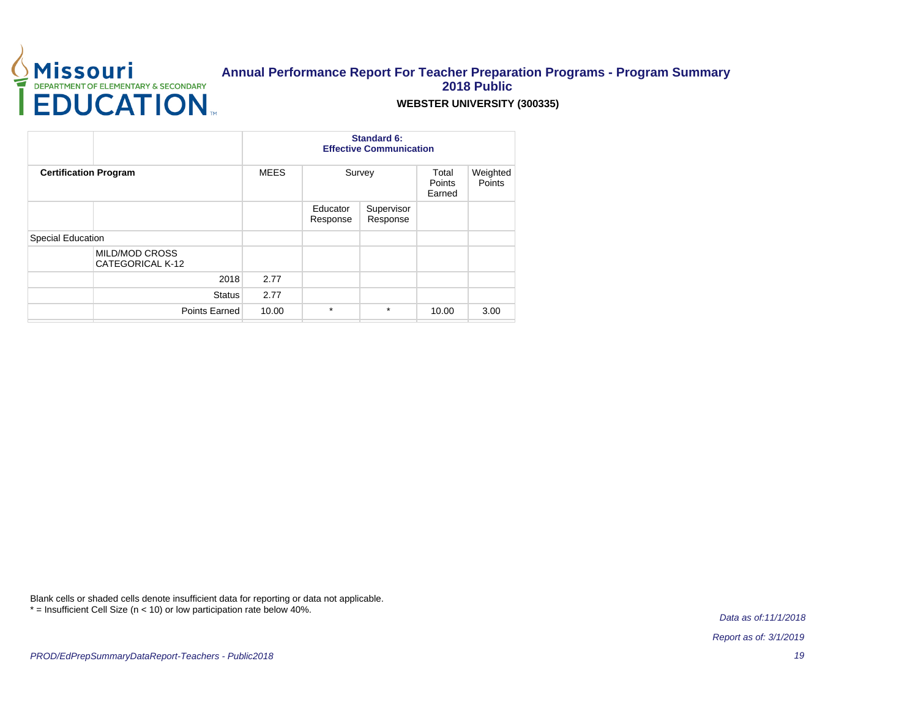

### **WEBSTER UNIVERSITY (300335)**

|                              |                                    |             | <b>Effective Communication</b> |                        |                                  |                    |
|------------------------------|------------------------------------|-------------|--------------------------------|------------------------|----------------------------------|--------------------|
| <b>Certification Program</b> |                                    | <b>MEES</b> |                                | Survey                 | Total<br><b>Points</b><br>Earned | Weighted<br>Points |
|                              |                                    |             | Educator<br>Response           | Supervisor<br>Response |                                  |                    |
| Special Education            |                                    |             |                                |                        |                                  |                    |
|                              | MILD/MOD CROSS<br>CATEGORICAL K-12 |             |                                |                        |                                  |                    |
|                              | 2018                               | 2.77        |                                |                        |                                  |                    |
|                              | <b>Status</b>                      | 2.77        |                                |                        |                                  |                    |
|                              | Points Earned                      | 10.00       | $\star$                        | $\star$                | 10.00                            | 3.00               |

Blank cells or shaded cells denote insufficient data for reporting or data not applicable. \* = Insufficient Cell Size (n < 10) or low participation rate below 40%.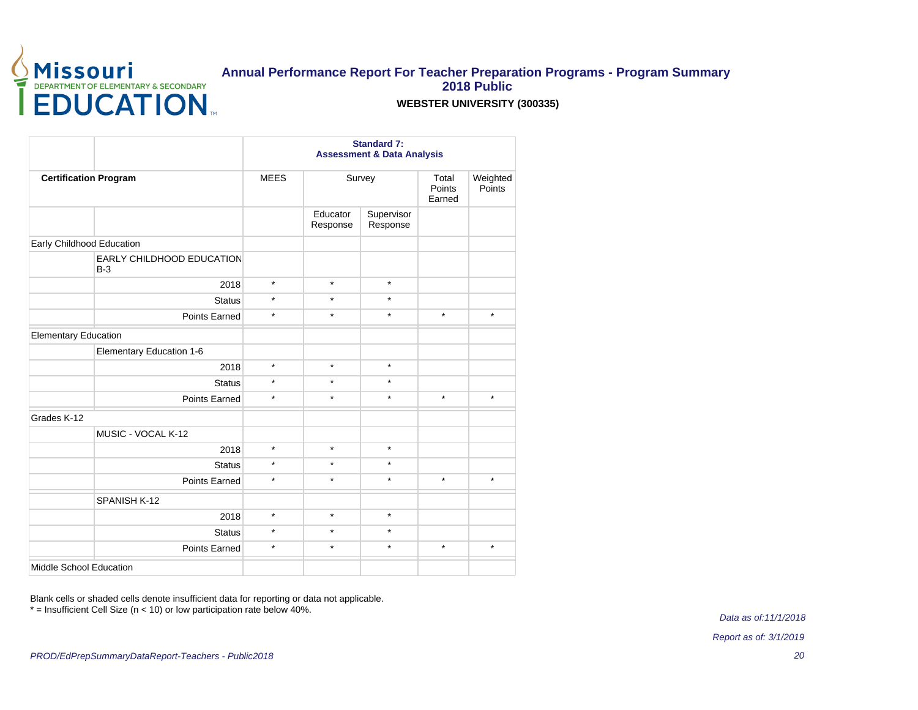

### **WEBSTER UNIVERSITY (300335)**

|                                    |             | <b>Standard 7:</b><br><b>Assessment &amp; Data Analysis</b> |                        |                           |                    |  |
|------------------------------------|-------------|-------------------------------------------------------------|------------------------|---------------------------|--------------------|--|
| <b>Certification Program</b>       | <b>MEES</b> | Survey                                                      |                        | Total<br>Points<br>Earned | Weighted<br>Points |  |
|                                    |             | Educator<br>Response                                        | Supervisor<br>Response |                           |                    |  |
| Early Childhood Education          |             |                                                             |                        |                           |                    |  |
| EARLY CHILDHOOD EDUCATION<br>$B-3$ |             |                                                             |                        |                           |                    |  |
| 2018                               | $\star$     | $\star$                                                     | $\star$                |                           |                    |  |
| <b>Status</b>                      | $\star$     | $\star$                                                     | $\star$                |                           |                    |  |
| <b>Points Earned</b>               | $\star$     | $\star$                                                     | $\star$                | $\star$                   | $\star$            |  |
| <b>Elementary Education</b>        |             |                                                             |                        |                           |                    |  |
| Elementary Education 1-6           |             |                                                             |                        |                           |                    |  |
| 2018                               | $\star$     | $\star$                                                     | $\star$                |                           |                    |  |
| <b>Status</b>                      | $\star$     | $\star$                                                     | $\star$                |                           |                    |  |
| Points Earned                      | $\star$     | $\star$                                                     | $\star$                | $\star$                   | $\star$            |  |
| Grades K-12                        |             |                                                             |                        |                           |                    |  |
| MUSIC - VOCAL K-12                 |             |                                                             |                        |                           |                    |  |
| 2018                               | $\star$     | $\star$                                                     | $\star$                |                           |                    |  |
| <b>Status</b>                      | $\star$     | $\star$                                                     | $\star$                |                           |                    |  |
| <b>Points Earned</b>               | $\star$     | $\star$                                                     | $\star$                | $\star$                   | $\star$            |  |
| SPANISH K-12                       |             |                                                             |                        |                           |                    |  |
| 2018                               | $\star$     | $\star$                                                     | $\star$                |                           |                    |  |
| <b>Status</b>                      | $\star$     | $\star$                                                     | $\star$                |                           |                    |  |
| Points Earned                      | $\star$     | $\star$                                                     | $\star$                | $\star$                   | $\star$            |  |
| Middle School Education            |             |                                                             |                        |                           |                    |  |

Blank cells or shaded cells denote insufficient data for reporting or data not applicable. \* = Insufficient Cell Size (n < 10) or low participation rate below 40%.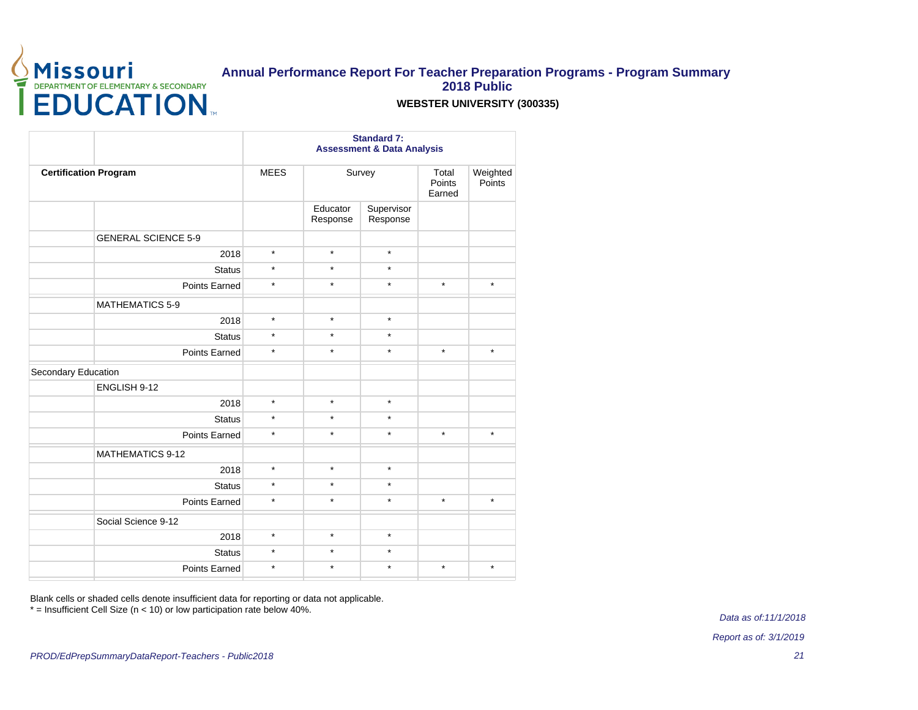

### **WEBSTER UNIVERSITY (300335)**

|                              | <b>Assessment &amp; Data Analysis</b> |                      |                        |                           |                    |
|------------------------------|---------------------------------------|----------------------|------------------------|---------------------------|--------------------|
| <b>Certification Program</b> | <b>MEES</b>                           | Survey               |                        | Total<br>Points<br>Earned | Weighted<br>Points |
|                              |                                       | Educator<br>Response | Supervisor<br>Response |                           |                    |
| <b>GENERAL SCIENCE 5-9</b>   |                                       |                      |                        |                           |                    |
|                              | $\star$<br>2018                       | $\star$              | $^\star$               |                           |                    |
| <b>Status</b>                | $\star$                               | $\star$              | $\star$                |                           |                    |
| <b>Points Earned</b>         | $\star$                               | $\star$              | $\star$                | $\star$                   | $\star$            |
| <b>MATHEMATICS 5-9</b>       |                                       |                      |                        |                           |                    |
|                              | $\star$<br>2018                       | $\star$              | $\star$                |                           |                    |
|                              | $\star$<br><b>Status</b>              | $\star$              | $\star$                |                           |                    |
| Points Earned                | $\star$                               | $\star$              | $^\star$               | $\star$                   | $\star$            |
| Secondary Education          |                                       |                      |                        |                           |                    |
| ENGLISH 9-12                 |                                       |                      |                        |                           |                    |
|                              | $\star$<br>2018                       | $\star$              | $\star$                |                           |                    |
| <b>Status</b>                | $\star$                               | $\star$              | $\star$                |                           |                    |
| Points Earned                | $\star$                               | $\star$              | $^\star$               | $\star$                   | $\star$            |
| <b>MATHEMATICS 9-12</b>      |                                       |                      |                        |                           |                    |
|                              | $\star$<br>2018                       | $\star$              | $^\star$               |                           |                    |
| <b>Status</b>                | $\star$                               | $\star$              | $\star$                |                           |                    |
| Points Earned                | $\star$                               | $\star$              | $\star$                | $\star$                   | $\star$            |
| Social Science 9-12          |                                       |                      |                        |                           |                    |
|                              | $\star$<br>2018                       | $\star$              | $\star$                |                           |                    |
| <b>Status</b>                | $\star$                               | $\star$              | $\star$                |                           |                    |
| Points Earned                | $\star$                               | $\star$              | $\star$                | $\star$                   | $\star$            |
|                              |                                       |                      |                        |                           |                    |

Blank cells or shaded cells denote insufficient data for reporting or data not applicable.

\* = Insufficient Cell Size (n < 10) or low participation rate below 40%.

Data as of:11/1/2018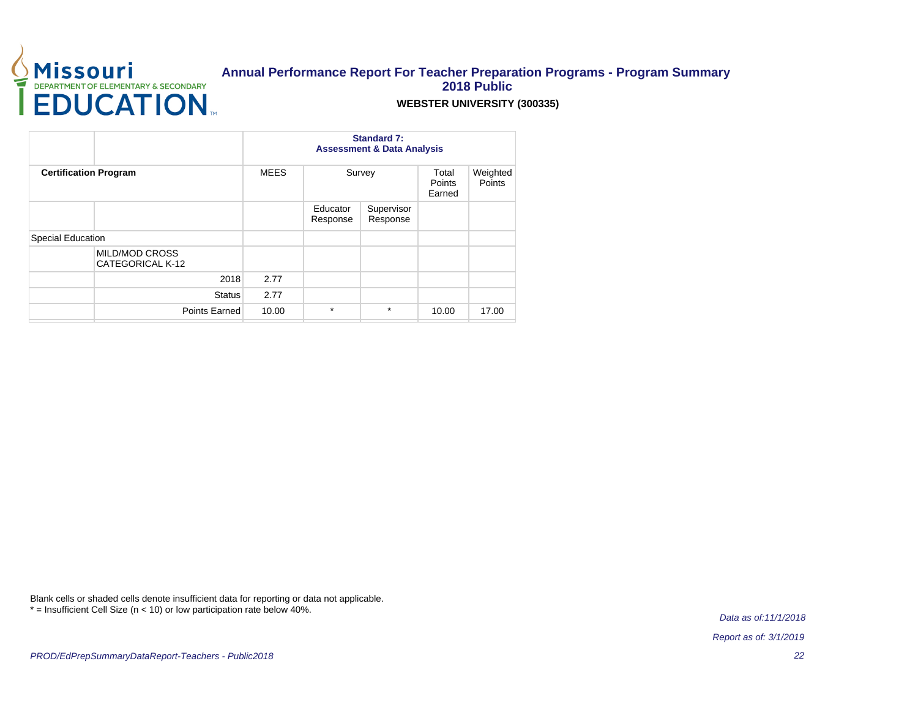

### **WEBSTER UNIVERSITY (300335)**

|                                           |             | <b>Standard 7:</b><br><b>Assessment &amp; Data Analysis</b> |                        |                           |                    |  |  |
|-------------------------------------------|-------------|-------------------------------------------------------------|------------------------|---------------------------|--------------------|--|--|
| <b>Certification Program</b>              | <b>MEES</b> |                                                             | Survey                 | Total<br>Points<br>Earned | Weighted<br>Points |  |  |
|                                           |             | Educator<br>Response                                        | Supervisor<br>Response |                           |                    |  |  |
| Special Education                         |             |                                                             |                        |                           |                    |  |  |
| <b>MILD/MOD CROSS</b><br>CATEGORICAL K-12 |             |                                                             |                        |                           |                    |  |  |
| 2018                                      | 2.77        |                                                             |                        |                           |                    |  |  |
| <b>Status</b>                             | 2.77        |                                                             |                        |                           |                    |  |  |
| Points Earned                             | 10.00       | $\star$                                                     | $\star$                | 10.00                     | 17.00              |  |  |

Blank cells or shaded cells denote insufficient data for reporting or data not applicable. \* = Insufficient Cell Size (n < 10) or low participation rate below 40%.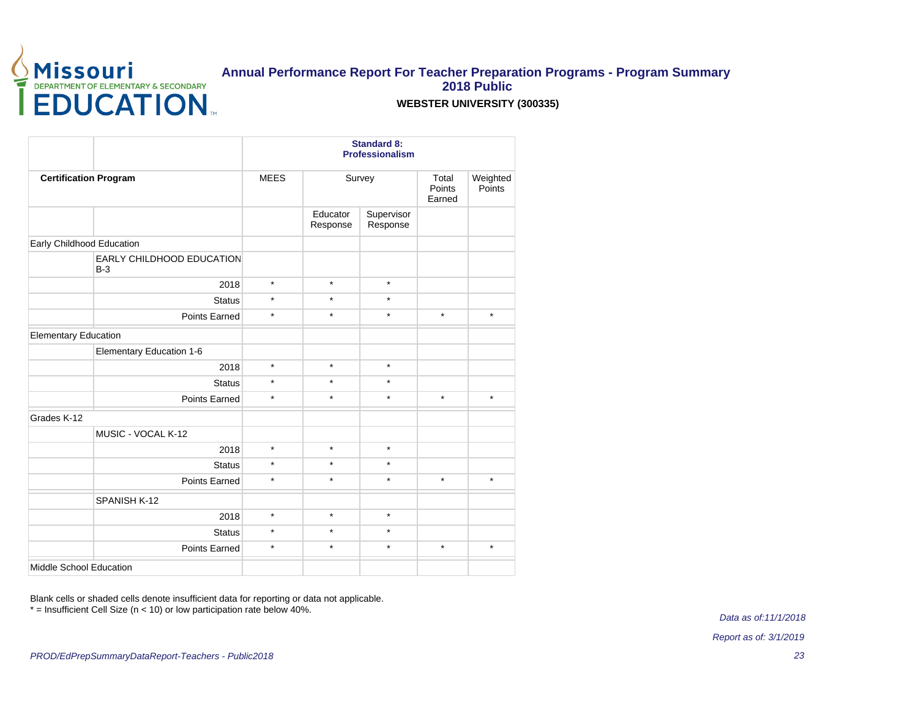

### **WEBSTER UNIVERSITY (300335)**

|                                    | <b>Standard 8:</b><br><b>Professionalism</b> |                      |                        |         |                    |  |
|------------------------------------|----------------------------------------------|----------------------|------------------------|---------|--------------------|--|
| <b>Certification Program</b>       | <b>MEES</b>                                  |                      | Survey                 |         | Weighted<br>Points |  |
|                                    |                                              | Educator<br>Response | Supervisor<br>Response |         |                    |  |
| Early Childhood Education          |                                              |                      |                        |         |                    |  |
| EARLY CHILDHOOD EDUCATION<br>$B-3$ |                                              |                      |                        |         |                    |  |
| 2018                               | $\star$                                      | $\star$              | $\star$                |         |                    |  |
| <b>Status</b>                      | $\star$                                      | $\star$              | $\star$                |         |                    |  |
| Points Earned                      | $\star$                                      | $\star$              | $\star$                | $\star$ | $\star$            |  |
| <b>Elementary Education</b>        |                                              |                      |                        |         |                    |  |
| Elementary Education 1-6           |                                              |                      |                        |         |                    |  |
| 2018                               | $\star$                                      | $\star$              | $\star$                |         |                    |  |
| <b>Status</b>                      | $\star$                                      | $\star$              | $\star$                |         |                    |  |
| Points Earned                      | $\star$                                      | $\star$              | $\star$                | $\star$ | $\star$            |  |
| Grades K-12                        |                                              |                      |                        |         |                    |  |
| MUSIC - VOCAL K-12                 |                                              |                      |                        |         |                    |  |
| 2018                               | $\star$                                      | $\star$              | $\star$                |         |                    |  |
| <b>Status</b>                      | $\star$                                      | $\star$              | $\star$                |         |                    |  |
| Points Earned                      | $\star$                                      | $\star$              | $\star$                | $\star$ | $\star$            |  |
| SPANISH K-12                       |                                              |                      |                        |         |                    |  |
| 2018                               | $\star$                                      | $\star$              | $\star$                |         |                    |  |
| <b>Status</b>                      | $\star$                                      | $\star$              | $\star$                |         |                    |  |
| Points Earned                      | $\star$                                      | $\star$              | $\star$                | $\star$ | $\star$            |  |
| Middle School Education            |                                              |                      |                        |         |                    |  |

Blank cells or shaded cells denote insufficient data for reporting or data not applicable. \* = Insufficient Cell Size (n < 10) or low participation rate below 40%.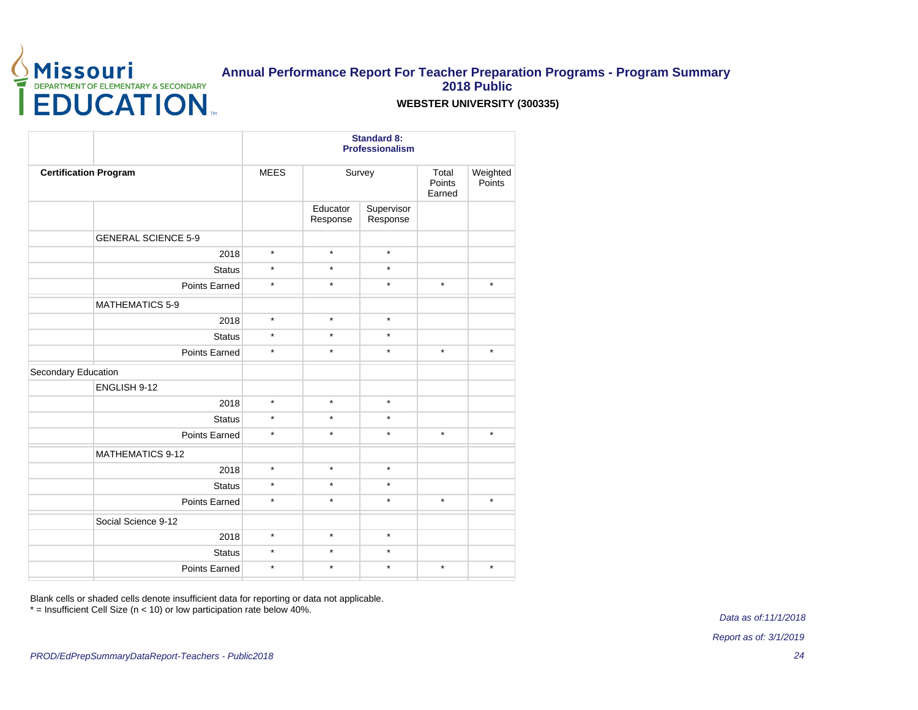

### **WEBSTER UNIVERSITY (300335)**

|                              |                          | <b>Standard 8:</b><br><b>Professionalism</b> |                        |                           |                    |  |  |
|------------------------------|--------------------------|----------------------------------------------|------------------------|---------------------------|--------------------|--|--|
| <b>Certification Program</b> | <b>MEES</b>              | Survey                                       |                        | Total<br>Points<br>Earned | Weighted<br>Points |  |  |
|                              |                          | Educator<br>Response                         | Supervisor<br>Response |                           |                    |  |  |
| <b>GENERAL SCIENCE 5-9</b>   |                          |                                              |                        |                           |                    |  |  |
|                              | $\star$<br>2018          | $\star$                                      | $\star$                |                           |                    |  |  |
|                              | $\star$<br><b>Status</b> | $\star$                                      | $\star$                |                           |                    |  |  |
| <b>Points Earned</b>         | $\star$                  | $\star$                                      | $\star$                | $\star$                   | $\star$            |  |  |
| <b>MATHEMATICS 5-9</b>       |                          |                                              |                        |                           |                    |  |  |
|                              | $\star$<br>2018          | $\star$                                      | $\star$                |                           |                    |  |  |
|                              | $\star$<br><b>Status</b> | $\star$                                      | $\star$                |                           |                    |  |  |
| Points Earned                | $\star$                  | $\star$                                      | $\star$                | $\star$                   | $\star$            |  |  |
| Secondary Education          |                          |                                              |                        |                           |                    |  |  |
| ENGLISH 9-12                 |                          |                                              |                        |                           |                    |  |  |
|                              | $\star$<br>2018          | $\star$                                      | $\star$                |                           |                    |  |  |
|                              | $\star$<br><b>Status</b> | $\star$                                      | $\star$                |                           |                    |  |  |
| <b>Points Earned</b>         | $\star$                  | $\star$                                      | $\star$                | $\star$                   | $\star$            |  |  |
| <b>MATHEMATICS 9-12</b>      |                          |                                              |                        |                           |                    |  |  |
|                              | $\star$<br>2018          | $\star$                                      | $\star$                |                           |                    |  |  |
|                              | $\star$<br><b>Status</b> | $\star$                                      | $\star$                |                           |                    |  |  |
| Points Earned                | $\star$                  | $\star$                                      | $\star$                | $\star$                   | $\star$            |  |  |
| Social Science 9-12          |                          |                                              |                        |                           |                    |  |  |
|                              | $\star$<br>2018          | $\star$                                      | $\star$                |                           |                    |  |  |
|                              | $\star$<br><b>Status</b> | $\star$                                      | $\star$                |                           |                    |  |  |
| Points Earned                | $\star$                  | $\star$                                      | $\star$                | $\star$                   | $\star$            |  |  |
|                              |                          |                                              |                        |                           |                    |  |  |

Blank cells or shaded cells denote insufficient data for reporting or data not applicable.

\* = Insufficient Cell Size (n < 10) or low participation rate below 40%.

Data as of:11/1/2018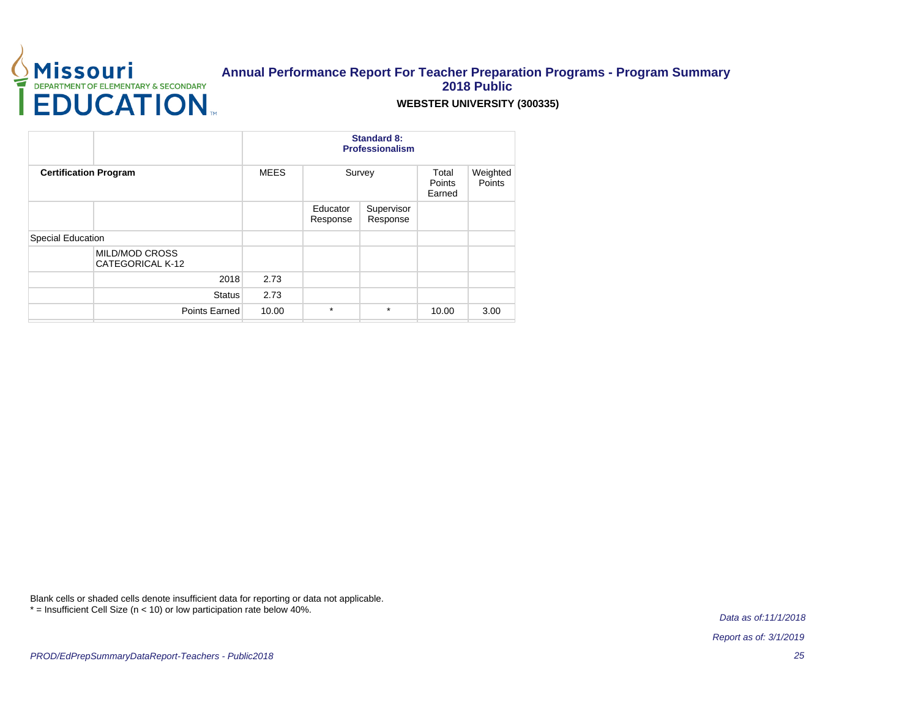

### **WEBSTER UNIVERSITY (300335)**

|                                           |             | <b>Standard 8:</b><br>Professionalism |                        |                           |                    |  |  |
|-------------------------------------------|-------------|---------------------------------------|------------------------|---------------------------|--------------------|--|--|
| <b>Certification Program</b>              | <b>MEES</b> | Survey                                |                        | Total<br>Points<br>Earned | Weighted<br>Points |  |  |
|                                           |             | Educator<br>Response                  | Supervisor<br>Response |                           |                    |  |  |
| Special Education                         |             |                                       |                        |                           |                    |  |  |
| <b>MILD/MOD CROSS</b><br>CATEGORICAL K-12 |             |                                       |                        |                           |                    |  |  |
| 2018                                      | 2.73        |                                       |                        |                           |                    |  |  |
| <b>Status</b>                             | 2.73        |                                       |                        |                           |                    |  |  |
| Points Earned                             | 10.00       | $\star$                               | $\star$                | 10.00                     | 3.00               |  |  |

Blank cells or shaded cells denote insufficient data for reporting or data not applicable. \* = Insufficient Cell Size (n < 10) or low participation rate below 40%.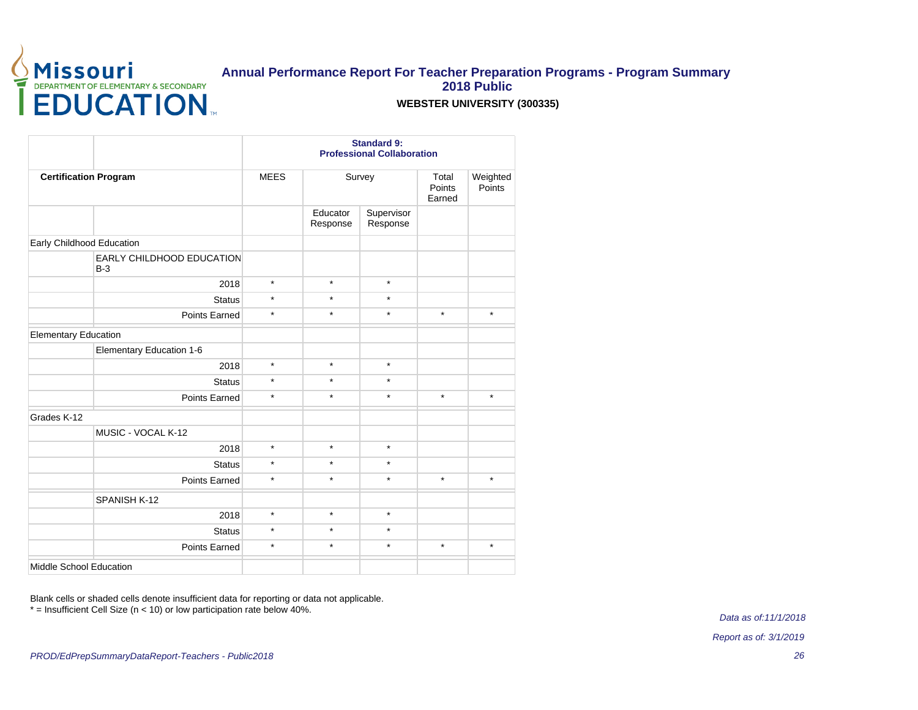

### **WEBSTER UNIVERSITY (300335)**

|                                           | <b>Standard 9:</b><br><b>Professional Collaboration</b> |                      |                        |                           |                    |  |
|-------------------------------------------|---------------------------------------------------------|----------------------|------------------------|---------------------------|--------------------|--|
| <b>Certification Program</b>              | <b>MEES</b>                                             | Survey               |                        | Total<br>Points<br>Earned | Weighted<br>Points |  |
|                                           |                                                         | Educator<br>Response | Supervisor<br>Response |                           |                    |  |
| Early Childhood Education                 |                                                         |                      |                        |                           |                    |  |
| <b>EARLY CHILDHOOD EDUCATION</b><br>$B-3$ |                                                         |                      |                        |                           |                    |  |
| 2018                                      | $\star$                                                 | $\star$              | $\star$                |                           |                    |  |
| <b>Status</b>                             | $\star$                                                 | $\star$              | $\star$                |                           |                    |  |
| <b>Points Earned</b>                      | $\star$                                                 | $\star$              | $\star$                | $\star$                   | $\star$            |  |
| <b>Elementary Education</b>               |                                                         |                      |                        |                           |                    |  |
| Elementary Education 1-6                  |                                                         |                      |                        |                           |                    |  |
| 2018                                      | $\star$                                                 | $\star$              | $\star$                |                           |                    |  |
| <b>Status</b>                             | $\star$                                                 | $\star$              | $\star$                |                           |                    |  |
| Points Earned                             | $\star$                                                 | $\star$              | $\star$                | $\star$                   | $\star$            |  |
| Grades K-12                               |                                                         |                      |                        |                           |                    |  |
| MUSIC - VOCAL K-12                        |                                                         |                      |                        |                           |                    |  |
| 2018                                      | $\star$                                                 | $\star$              | $\star$                |                           |                    |  |
| <b>Status</b>                             | $\star$                                                 | $\star$              | $\star$                |                           |                    |  |
| Points Earned                             | $\star$                                                 | $\star$              | $\star$                | $\star$                   | $\star$            |  |
| SPANISH K-12                              |                                                         |                      |                        |                           |                    |  |
| 2018                                      | $\star$                                                 | $\star$              | $\star$                |                           |                    |  |
| <b>Status</b>                             | $\star$                                                 | $\star$              | $\star$                |                           |                    |  |
| Points Earned                             | $\star$                                                 | $\star$              | $\star$                | $\star$                   | $\star$            |  |
| Middle School Education                   |                                                         |                      |                        |                           |                    |  |

Blank cells or shaded cells denote insufficient data for reporting or data not applicable. \* = Insufficient Cell Size (n < 10) or low participation rate below 40%.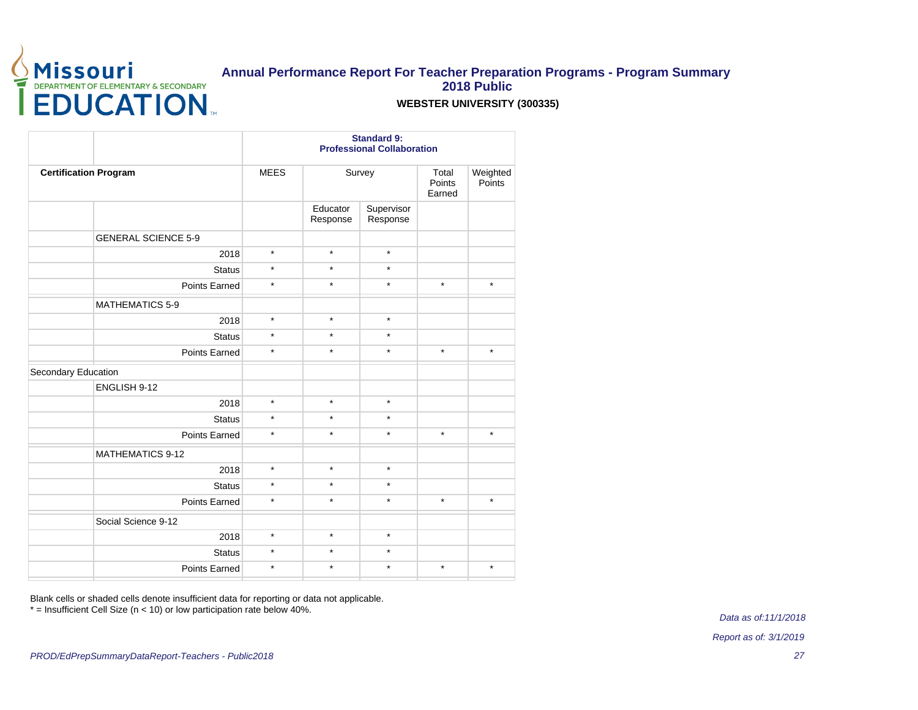

### **WEBSTER UNIVERSITY (300335)**

|                              |                            | <b>Standard 9:</b><br><b>Professional Collaboration</b> |                      |                        |                           |                    |  |  |
|------------------------------|----------------------------|---------------------------------------------------------|----------------------|------------------------|---------------------------|--------------------|--|--|
| <b>Certification Program</b> |                            | <b>MEES</b>                                             | Survey               |                        | Total<br>Points<br>Earned | Weighted<br>Points |  |  |
|                              |                            |                                                         | Educator<br>Response | Supervisor<br>Response |                           |                    |  |  |
|                              | <b>GENERAL SCIENCE 5-9</b> |                                                         |                      |                        |                           |                    |  |  |
|                              | 2018                       | $\star$                                                 | $\star$              | $\star$                |                           |                    |  |  |
|                              | <b>Status</b>              | $\star$                                                 | $\star$              | $\star$                |                           |                    |  |  |
|                              | Points Earned              | $\star$                                                 | $\star$              | $\star$                | $\star$                   | $\star$            |  |  |
|                              | <b>MATHEMATICS 5-9</b>     |                                                         |                      |                        |                           |                    |  |  |
|                              | 2018                       | $\star$                                                 | $\star$              | $\star$                |                           |                    |  |  |
|                              | <b>Status</b>              | $\star$                                                 | $\star$              | $\star$                |                           |                    |  |  |
|                              | Points Earned              | $\star$                                                 | $\star$              | $\star$                | $\star$                   | $\star$            |  |  |
| Secondary Education          |                            |                                                         |                      |                        |                           |                    |  |  |
|                              | ENGLISH 9-12               |                                                         |                      |                        |                           |                    |  |  |
|                              | 2018                       | $\star$                                                 | $\star$              | $\star$                |                           |                    |  |  |
|                              | <b>Status</b>              | $\star$                                                 | $\star$              | $\star$                |                           |                    |  |  |
|                              | <b>Points Earned</b>       | $\star$                                                 | $\star$              | $\star$                | $\star$                   | $\star$            |  |  |
|                              | <b>MATHEMATICS 9-12</b>    |                                                         |                      |                        |                           |                    |  |  |
|                              | 2018                       | $\star$                                                 | $\star$              | $\star$                |                           |                    |  |  |
|                              | <b>Status</b>              | $\star$                                                 | $\star$              | $\star$                |                           |                    |  |  |
|                              | Points Earned              | $\star$                                                 | $\star$              | $\star$                | $\star$                   | $\star$            |  |  |
|                              | Social Science 9-12        |                                                         |                      |                        |                           |                    |  |  |
|                              | 2018                       | $\star$                                                 | $\star$              | $\star$                |                           |                    |  |  |
|                              | <b>Status</b>              | $\star$                                                 | $\star$              | $\star$                |                           |                    |  |  |
|                              | Points Earned              | $\star$                                                 | $\star$              | $\star$                | $\star$                   | $\star$            |  |  |
|                              |                            |                                                         |                      |                        |                           |                    |  |  |

Blank cells or shaded cells denote insufficient data for reporting or data not applicable.

\* = Insufficient Cell Size (n < 10) or low participation rate below 40%.